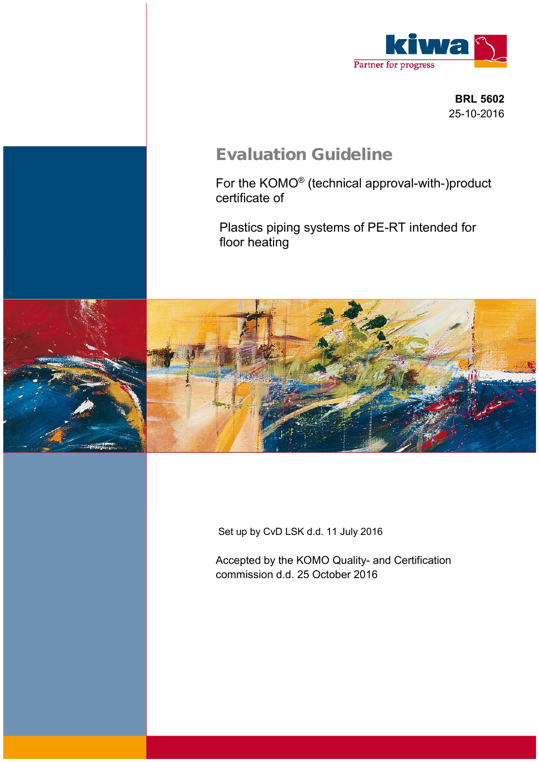

**BRL 5602** 25-10-2016

# **Evaluation Guideline**

For the KOMO® (technical approval-with-)product certificate of

Plastics piping systems of PE-RT intended for floor heating



Set up by CvD LSK d.d. 11 July 2016

Accepted by the KOMO Quality- and Certification commission d.d. 25 October 2016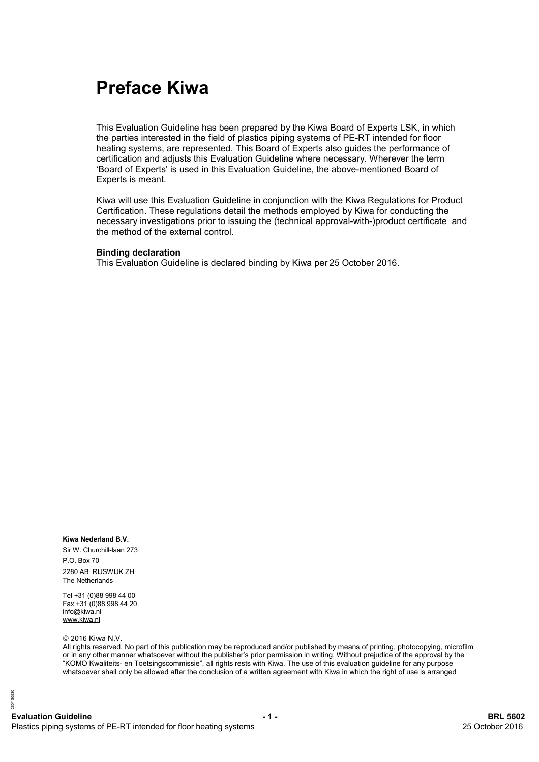# **Preface Kiwa**

This Evaluation Guideline has been prepared by the Kiwa Board of Experts LSK, in which the parties interested in the field of plastics piping systems of PE-RT intended for floor heating systems, are represented. This Board of Experts also guides the performance of certification and adjusts this Evaluation Guideline where necessary. Wherever the term 'Board of Experts' is used in this Evaluation Guideline, the above-mentioned Board of Experts is meant.

Kiwa will use this Evaluation Guideline in conjunction with the Kiwa Regulations for Product Certification. These regulations detail the methods employed by Kiwa for conducting the necessary investigations prior to issuing the (technical approval-with-)product certificate and the method of the external control.

#### **Binding declaration**

This Evaluation Guideline is declared binding by Kiwa per 25 October 2016.

#### **Kiwa Nederland B.V.**

Sir W. Churchill-laan 273 P.O. Box 70 2280 AB RIJSWIJK ZH The Netherlands

Tel +31 (0)88 998 44 00 Fax +31 (0)88 998 44 20 [info@kiwa.nl](mailto:info@kiwa.nl) [www.kiwa.nl](http://www.kiwa.nl)

#### © 2016 Kiwa N.V.

05.30 260/130530

All rights reserved. No part of this publication may be reproduced and/or published by means of printing, photocopying, microfilm or in any other manner whatsoever without the publisher's prior permission in writing. Without prejudice of the approval by the "KOMO Kwaliteits- en Toetsingscommissie", all rights rests with Kiwa. The use of this evaluation guideline for any purpose whatsoever shall only be allowed after the conclusion of a written agreement with Kiwa in which the right of use is arranged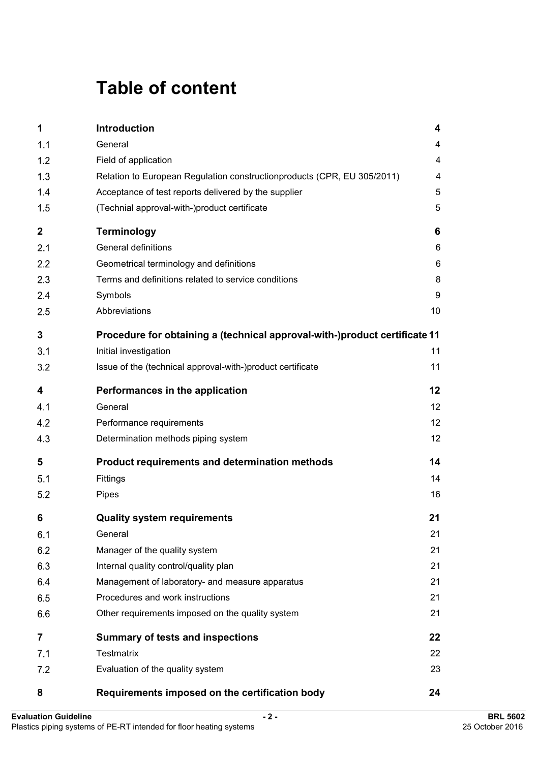# **Table of content**

| 1                | Introduction                                                               | 4                       |
|------------------|----------------------------------------------------------------------------|-------------------------|
| 1.1              | General                                                                    | 4                       |
| 1.2              | Field of application                                                       | $\overline{\mathbf{4}}$ |
| 1.3              | Relation to European Regulation constructionproducts (CPR, EU 305/2011)    | 4                       |
| 1.4              | Acceptance of test reports delivered by the supplier                       | 5                       |
| 1.5              | (Technial approval-with-)product certificate                               | 5                       |
| $\boldsymbol{2}$ | <b>Terminology</b>                                                         | 6                       |
| 2.1              | General definitions                                                        | 6                       |
| 2.2              | Geometrical terminology and definitions                                    | 6                       |
| 2.3              | Terms and definitions related to service conditions                        | 8                       |
| 2.4              | Symbols                                                                    | 9                       |
| 2.5              | Abbreviations                                                              | 10                      |
| 3                | Procedure for obtaining a (technical approval-with-)product certificate 11 |                         |
| 3.1              | Initial investigation                                                      | 11                      |
| 3.2              | Issue of the (technical approval-with-)product certificate                 | 11                      |
| 4                | Performances in the application                                            | 12                      |
| 4.1              | General                                                                    | 12                      |
| 4.2              | Performance requirements                                                   | 12                      |
| 4.3              | Determination methods piping system                                        | 12                      |
| 5                | Product requirements and determination methods                             | 14                      |
| 5.1              | Fittings                                                                   | 14                      |
| 5.2              | Pipes                                                                      | 16                      |
| 6                | <b>Quality system requirements</b>                                         | 21                      |
| 6.1              | General                                                                    | 21                      |
| 6.2              | Manager of the quality system                                              | 21                      |
| 6.3              | Internal quality control/quality plan                                      | 21                      |
| 6.4              | Management of laboratory- and measure apparatus                            | 21                      |
| 6.5              | Procedures and work instructions                                           | 21                      |
| 6.6              | Other requirements imposed on the quality system                           | 21                      |
| 7                | <b>Summary of tests and inspections</b>                                    | 22                      |
| 7.1              | <b>Testmatrix</b>                                                          | 22                      |
| 7.2              | Evaluation of the quality system                                           | 23                      |
| 8                | Requirements imposed on the certification body                             | 24                      |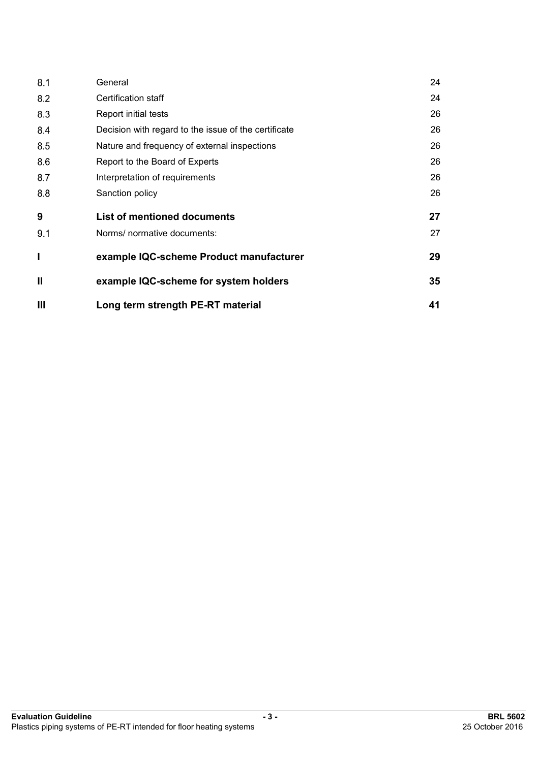| 8.1            | General                                              | 24 |
|----------------|------------------------------------------------------|----|
| 8.2            | Certification staff                                  | 24 |
| 8.3            | Report initial tests                                 | 26 |
| 8.4            | Decision with regard to the issue of the certificate | 26 |
| 8.5            | Nature and frequency of external inspections         | 26 |
| 8.6            | Report to the Board of Experts                       | 26 |
| 8.7            | Interpretation of requirements                       | 26 |
| 8.8            | Sanction policy                                      | 26 |
| 9              | <b>List of mentioned documents</b>                   | 27 |
| 9.1            | Norms/ normative documents:                          | 27 |
|                | example IQC-scheme Product manufacturer              | 29 |
| $\mathbf{I}$   | example IQC-scheme for system holders                | 35 |
| $\mathbf{III}$ | Long term strength PE-RT material                    | 41 |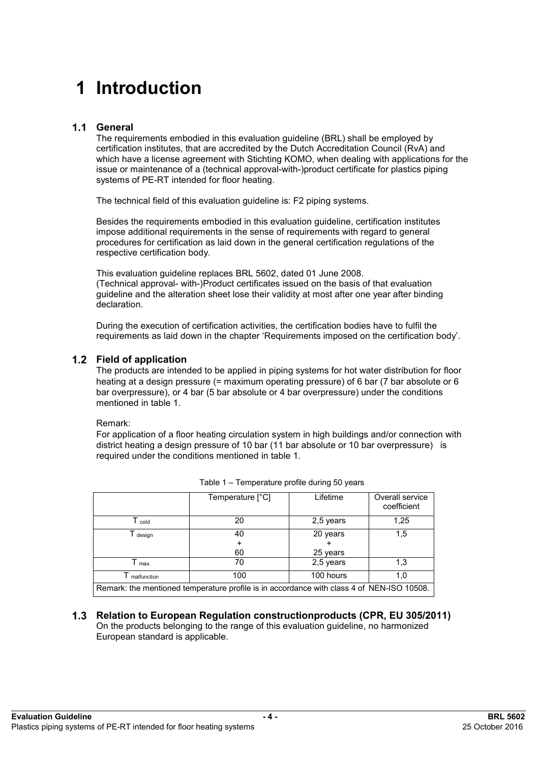# **1 Introduction**

# **General**

The requirements embodied in this evaluation guideline (BRL) shall be employed by certification institutes, that are accredited by the Dutch Accreditation Council (RvA) and which have a license agreement with Stichting KOMO, when dealing with applications for the issue or maintenance of a (technical approval-with-)product certificate for plastics piping systems of PE-RT intended for floor heating.

The technical field of this evaluation guideline is: F2 piping systems.

Besides the requirements embodied in this evaluation guideline, certification institutes impose additional requirements in the sense of requirements with regard to general procedures for certification as laid down in the general certification regulations of the respective certification body.

This evaluation guideline replaces BRL 5602, dated 01 June 2008. (Technical approval- with-)Product certificates issued on the basis of that evaluation guideline and the alteration sheet lose their validity at most after one year after binding declaration.

During the execution of certification activities, the certification bodies have to fulfil the requirements as laid down in the chapter 'Requirements imposed on the certification body'.

# **Field of application**

The products are intended to be applied in piping systems for hot water distribution for floor heating at a design pressure (= maximum operating pressure) of 6 bar (7 bar absolute or 6 bar overpressure), or 4 bar (5 bar absolute or 4 bar overpressure) under the conditions mentioned in table 1.

Remark:

For application of a floor heating circulation system in high buildings and/or connection with district heating a design pressure of 10 bar (11 bar absolute or 10 bar overpressure) is required under the conditions mentioned in table 1.

|                                                                                           | Temperature [°C] | Lifetime  | Overall service |  |  |  |
|-------------------------------------------------------------------------------------------|------------------|-----------|-----------------|--|--|--|
|                                                                                           |                  |           | coefficient     |  |  |  |
| $\mathsf T$ cold                                                                          | 20               | 2,5 years | 1,25            |  |  |  |
|                                                                                           | 40               | 20 years  | 1,5             |  |  |  |
| design                                                                                    |                  |           |                 |  |  |  |
|                                                                                           | +                |           |                 |  |  |  |
|                                                                                           | 60               | 25 years  |                 |  |  |  |
| $\mathsf{I}$ max.                                                                         | 70               | 2,5 years | 1,3             |  |  |  |
| malfunction                                                                               | 100              | 100 hours | 1,0             |  |  |  |
| Remark: the mentioned temperature profile is in accordance with class 4 of NEN-ISO 10508. |                  |           |                 |  |  |  |

**Relation to European Regulation constructionproducts (CPR, EU 305/2011)**  On the products belonging to the range of this evaluation guideline, no harmonized European standard is applicable.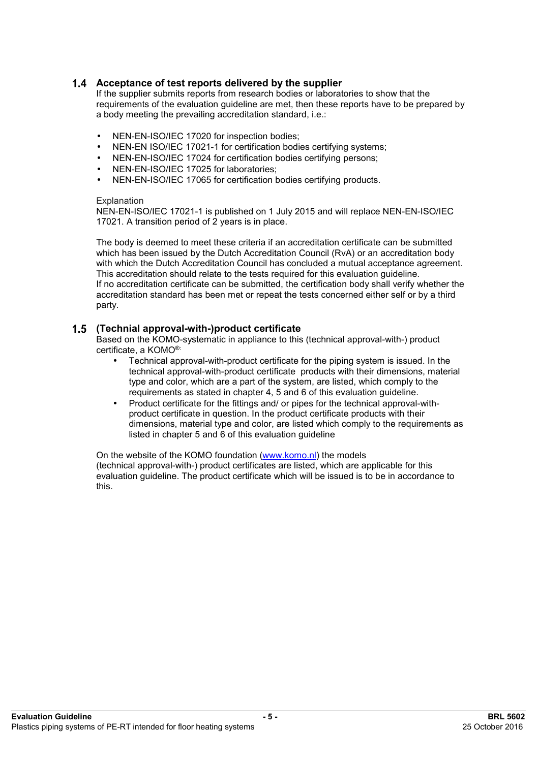### **Acceptance of test reports delivered by the supplier**

If the supplier submits reports from research bodies or laboratories to show that the requirements of the evaluation guideline are met, then these reports have to be prepared by a body meeting the prevailing accreditation standard, i.e.:

- NEN-EN-ISO/IEC 17020 for inspection bodies;
- NEN-EN ISO/IEC 17021-1 for certification bodies certifying systems;
- NEN-EN-ISO/IEC 17024 for certification bodies certifying persons;
- NEN-EN-ISO/IEC 17025 for laboratories;
- NEN-EN-ISO/IEC 17065 for certification bodies certifying products.

#### **Explanation**

NEN-EN-ISO/IEC 17021-1 is published on 1 July 2015 and will replace NEN-EN-ISO/IEC 17021. A transition period of 2 years is in place.

The body is deemed to meet these criteria if an accreditation certificate can be submitted which has been issued by the Dutch Accreditation Council (RvA) or an accreditation body with which the Dutch Accreditation Council has concluded a mutual acceptance agreement. This accreditation should relate to the tests required for this evaluation guideline. If no accreditation certificate can be submitted, the certification body shall verify whether the accreditation standard has been met or repeat the tests concerned either self or by a third party.

#### **(Technial approval-with-)product certificate**

Based on the KOMO-systematic in appliance to this (technical approval-with-) product certificate, a KOMO®:

- Technical approval-with-product certificate for the piping system is issued. In the technical approval-with-product certificate products with their dimensions, material type and color, which are a part of the system, are listed, which comply to the requirements as stated in chapter 4, 5 and 6 of this evaluation guideline.
- Product certificate for the fittings and/ or pipes for the technical approval-withproduct certificate in question. In the product certificate products with their dimensions, material type and color, are listed which comply to the requirements as listed in chapter 5 and 6 of this evaluation guideline

On the website of the KOMO foundation ([www.komo.nl](http://www.komo.nl)) the models (technical approval-with-) product certificates are listed, which are applicable for this evaluation guideline. The product certificate which will be issued is to be in accordance to this.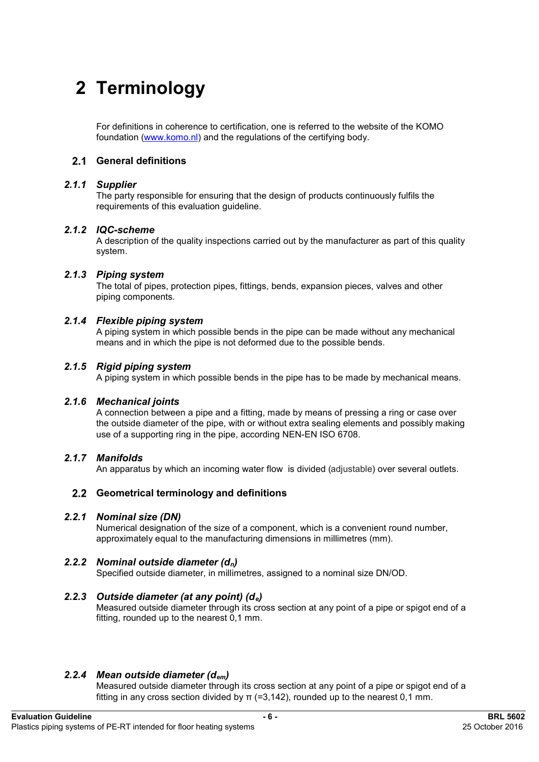# **2 Terminology**

For definitions in coherence to certification, one is referred to the website of the KOMO foundation [\(www.komo.nl\)](http://www.komo.nl) and the regulations of the certifying body.

### **General definitions**

#### *2.1.1 Supplier*

The party responsible for ensuring that the design of products continuously fulfils the requirements of this evaluation guideline.

#### *2.1.2 IQC-scheme*

A description of the quality inspections carried out by the manufacturer as part of this quality system.

#### *2.1.3 Piping system*

The total of pipes, protection pipes, fittings, bends, expansion pieces, valves and other piping components.

#### *2.1.4 Flexible piping system*

A piping system in which possible bends in the pipe can be made without any mechanical means and in which the pipe is not deformed due to the possible bends.

#### *2.1.5 Rigid piping system*

A piping system in which possible bends in the pipe has to be made by mechanical means.

#### *2.1.6 Mechanical joints*

A connection between a pipe and a fitting, made by means of pressing a ring or case over the outside diameter of the pipe, with or without extra sealing elements and possibly making use of a supporting ring in the pipe, according NEN-EN ISO 6708.

#### *2.1.7 Manifolds*

An apparatus by which an incoming water flow is divided (adjustable) over several outlets.

#### **Geometrical terminology and definitions**

#### *2.2.1 Nominal size (DN)*

Numerical designation of the size of a component, which is a convenient round number, approximately equal to the manufacturing dimensions in millimetres (mm).

#### *2.2.2 Nominal outside diameter (dn)*

Specified outside diameter, in millimetres, assigned to a nominal size DN/OD.

#### *2.2.3 Outside diameter (at any point) (de)*

Measured outside diameter through its cross section at any point of a pipe or spigot end of a fitting, rounded up to the nearest 0,1 mm.

#### *2.2.4 Mean outside diameter (dem)*

Measured outside diameter through its cross section at any point of a pipe or spigot end of a fitting in any cross section divided by π (=3,142), rounded up to the nearest 0,1 mm.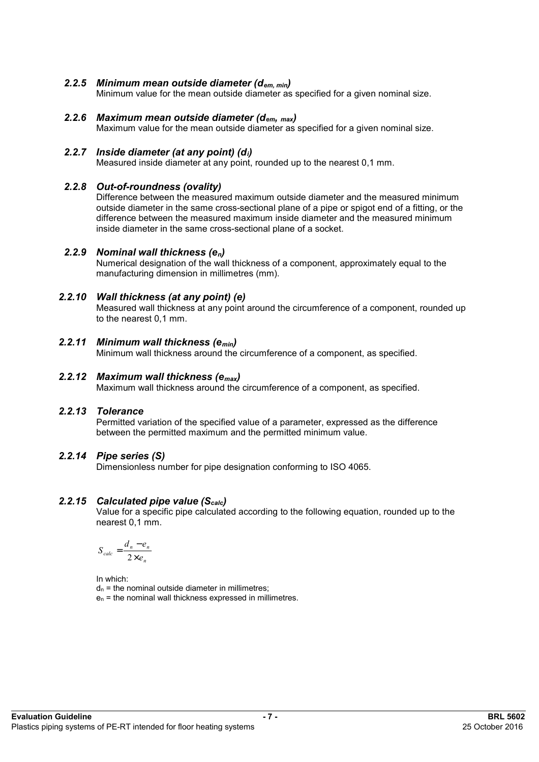#### *2.2.5 Minimum mean outside diameter (dem, min)*

Minimum value for the mean outside diameter as specified for a given nominal size.

# *2.2.6 Maximum mean outside diameter (dem, max)*

Maximum value for the mean outside diameter as specified for a given nominal size.

#### *2.2.7 Inside diameter (at any point) (di)*

Measured inside diameter at any point, rounded up to the nearest 0,1 mm.

#### *2.2.8 Out-of-roundness (ovality)*

Difference between the measured maximum outside diameter and the measured minimum outside diameter in the same cross-sectional plane of a pipe or spigot end of a fitting, or the difference between the measured maximum inside diameter and the measured minimum inside diameter in the same cross-sectional plane of a socket.

#### *2.2.9 Nominal wall thickness (en)*

Numerical designation of the wall thickness of a component, approximately equal to the manufacturing dimension in millimetres (mm).

### *2.2.10 Wall thickness (at any point) (e)*

Measured wall thickness at any point around the circumference of a component, rounded up to the nearest 0,1 mm.

### *2.2.11 Minimum wall thickness (emin)*

Minimum wall thickness around the circumference of a component, as specified.

#### *2.2.12 Maximum wall thickness (emax)*

Maximum wall thickness around the circumference of a component, as specified.

# *2.2.13 Tolerance*

Permitted variation of the specified value of a parameter, expressed as the difference between the permitted maximum and the permitted minimum value.

#### *2.2.14 Pipe series (S)*

Dimensionless number for pipe designation conforming to ISO 4065.

#### *2.2.15 Calculated pipe value (Scalc)*

Value for a specific pipe calculated according to the following equation, rounded up to the nearest 0,1 mm.

$$
S_{calc} = \frac{d_n - e_n}{2 \times e_n}
$$

In which:  $d_n$  = the nominal outside diameter in millimetres;

en = the nominal wall thickness expressed in millimetres.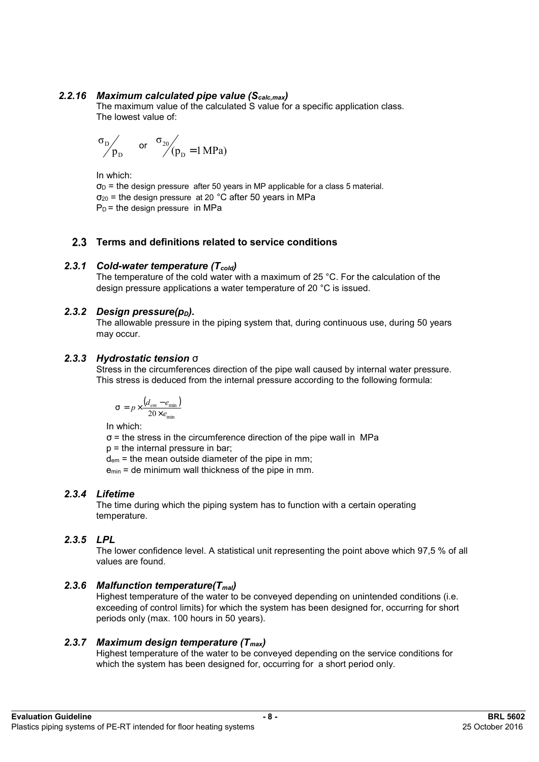#### *2.2.16 Maximum calculated pipe value (Scalc,max)*

The maximum value of the calculated S value for a specific application class. The lowest value of:

$$
\sigma_{\rm D}
$$
 or  $\sigma_{\rm 20}$  ( $p_{\rm D} = 1 \text{ MPa}$ )

In which:

 $\sigma_D$  = the design pressure after 50 years in MP applicable for a class 5 material.  $\sigma_{20}$  = the design pressure at 20 °C after 50 years in MPa  $P_D$  = the design pressure in MPa

# **Terms and definitions related to service conditions**

# *2.3.1 Cold-water temperature (Tcold)*

The temperature of the cold water with a maximum of 25 °C. For the calculation of the design pressure applications a water temperature of 20 °C is issued.

### *2.3.2 Design pressure(p<sub>D</sub>).*

The allowable pressure in the piping system that, during continuous use, during 50 years may occur.

# *2.3.3 Hydrostatic tension s*

Stress in the circumferences direction of the pipe wall caused by internal water pressure. This stress is deduced from the internal pressure according to the following formula:

$$
s = p \times \frac{(d_{em} - e_{\min})}{20 \times e_{\min}}
$$

In which:

 $\sigma$  = the stress in the circumference direction of the pipe wall in MPa

p = the internal pressure in bar;

dem = the mean outside diameter of the pipe in mm;

emin = de minimum wall thickness of the pipe in mm.

# *2.3.4 Lifetime*

The time during which the piping system has to function with a certain operating temperature.

# *2.3.5 LPL*

The lower confidence level. A statistical unit representing the point above which 97,5 % of all values are found.

# *2.3.6 Malfunction temperature(Tmal)*

Highest temperature of the water to be conveyed depending on unintended conditions (i.e. exceeding of control limits) for which the system has been designed for, occurring for short periods only (max. 100 hours in 50 years).

# *2.3.7 Maximum design temperature (Tmax)*

Highest temperature of the water to be conveyed depending on the service conditions for which the system has been designed for, occurring for a short period only.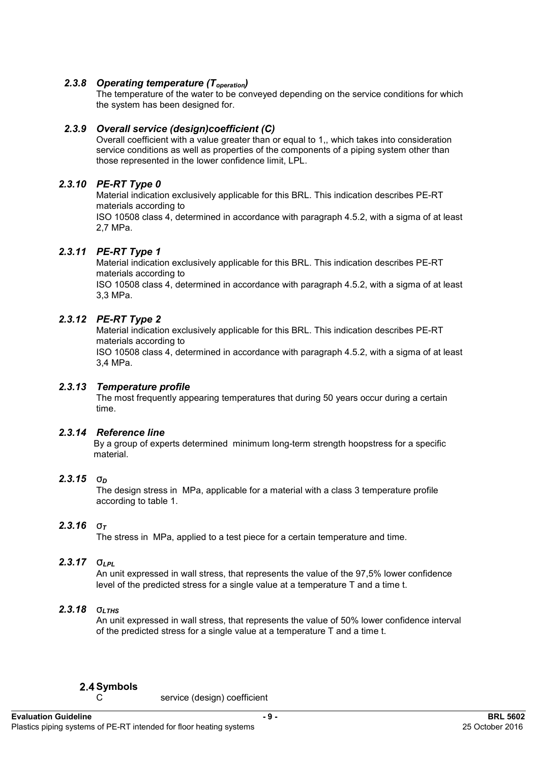### *2.3.8 Operating temperature (Toperation)*

The temperature of the water to be conveyed depending on the service conditions for which the system has been designed for.

#### *2.3.9 Overall service (design)coefficient (C)*

Overall coefficient with a value greater than or equal to 1,, which takes into consideration service conditions as well as properties of the components of a piping system other than those represented in the lower confidence limit, LPL.

### *2.3.10 PE-RT Type 0*

Material indication exclusively applicable for this BRL. This indication describes PE-RT materials according to ISO 10508 class 4, determined in accordance with paragraph 4.5.2, with a sigma of at least 2,7 MPa.

### *2.3.11 PE-RT Type 1*

Material indication exclusively applicable for this BRL. This indication describes PE-RT materials according to ISO 10508 class 4, determined in accordance with paragraph 4.5.2, with a sigma of at least 3,3 MPa.

# *2.3.12 PE-RT Type 2*

Material indication exclusively applicable for this BRL. This indication describes PE-RT materials according to ISO 10508 class 4, determined in accordance with paragraph 4.5.2, with a sigma of at least 3,4 MPa.

#### *2.3.13 Temperature profile*

The most frequently appearing temperatures that during 50 years occur during a certain time.

### *2.3.14 Reference line*

By a group of experts determined minimum long-term strength hoopstress for a specific material.

#### *2.3.15 s<sup>D</sup>*

The design stress in MPa, applicable for a material with a class 3 temperature profile according to table 1.

#### *2.3.16 s<sup>T</sup>*

The stress in MPa, applied to a test piece for a certain temperature and time.

### *2.3.17 sLPL*

An unit expressed in wall stress, that represents the value of the 97,5% lower confidence level of the predicted stress for a single value at a temperature T and a time t.

# *2.3.18 sLTHS*

An unit expressed in wall stress, that represents the value of 50% lower confidence interval of the predicted stress for a single value at a temperature T and a time t.

# 2.4 Symbols

C service (design) coefficient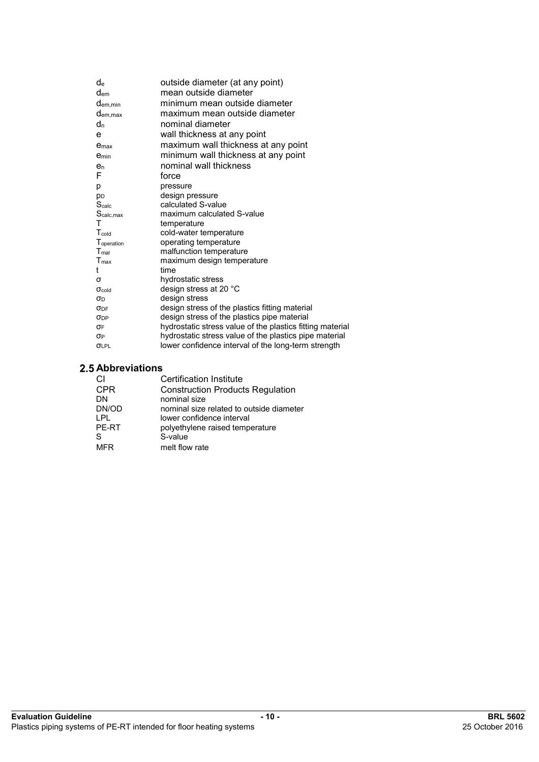| de                    | outside diameter (at any point)                           |
|-----------------------|-----------------------------------------------------------|
| dem                   | mean outside diameter                                     |
| dem, min              | minimum mean outside diameter                             |
| d <sub>em, max</sub>  | maximum mean outside diameter                             |
| dn                    | nominal diameter                                          |
| e                     | wall thickness at any point                               |
| e <sub>max</sub>      | maximum wall thickness at any point                       |
| emin                  | minimum wall thickness at any point                       |
| e <sub>n</sub>        | nominal wall thickness                                    |
| F                     | force                                                     |
| р                     | pressure                                                  |
| D <sub>D</sub>        | design pressure                                           |
| S <sub>calc</sub>     | calculated S-value                                        |
| S <sub>calc,max</sub> | maximum calculated S-value                                |
| т                     | temperature                                               |
| T <sub>cold</sub>     | cold-water temperature                                    |
| Toperation            | operating temperature                                     |
| T <sub>mal</sub>      | malfunction temperature                                   |
| $T_{\text{max}}$      | maximum design temperature                                |
| t                     | time                                                      |
| σ                     | hydrostatic stress                                        |
| $\sigma$ cold         | design stress at 20 °C                                    |
| σD                    | design stress                                             |
| $\sigma_{\rm DF}$     | design stress of the plastics fitting material            |
| ODP                   | design stress of the plastics pipe material               |
| σF                    | hydrostatic stress value of the plastics fitting material |
| σP                    | hydrostatic stress value of the plastics pipe material    |
| <b>OLPL</b>           | lower confidence interval of the long-term strength       |

# **2.5 Abbreviations**

| СI         | Certification Institute                  |
|------------|------------------------------------------|
| <b>CPR</b> | <b>Construction Products Regulation</b>  |
| DN         | nominal size                             |
| DN/OD      | nominal size related to outside diameter |
| I PI       | lower confidence interval                |
| PF-RT      | polyethylene raised temperature          |
| S          | S-value                                  |
| MFR        | melt flow rate                           |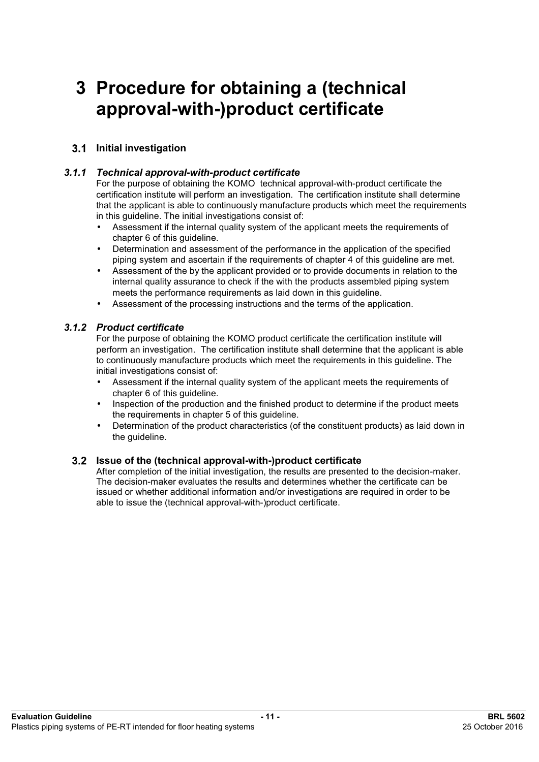# **3 Procedure for obtaining a (technical approval-with-)product certificate**

# **Initial investigation**

### *3.1.1 Technical approval-with-product certificate*

For the purpose of obtaining the KOMO technical approval-with-product certificate the certification institute will perform an investigation. The certification institute shall determine that the applicant is able to continuously manufacture products which meet the requirements in this guideline. The initial investigations consist of:

- Assessment if the internal quality system of the applicant meets the requirements of chapter 6 of this guideline.
- Determination and assessment of the performance in the application of the specified piping system and ascertain if the requirements of chapter 4 of this guideline are met.
- Assessment of the by the applicant provided or to provide documents in relation to the internal quality assurance to check if the with the products assembled piping system meets the performance requirements as laid down in this guideline.
- Assessment of the processing instructions and the terms of the application.

### *3.1.2 Product certificate*

For the purpose of obtaining the KOMO product certificate the certification institute will perform an investigation. The certification institute shall determine that the applicant is able to continuously manufacture products which meet the requirements in this guideline. The initial investigations consist of:

- Assessment if the internal quality system of the applicant meets the requirements of chapter 6 of this guideline.
- Inspection of the production and the finished product to determine if the product meets the requirements in chapter 5 of this guideline.
- Determination of the product characteristics (of the constituent products) as laid down in the guideline.

#### **Issue of the (technical approval-with-)product certificate**

After completion of the initial investigation, the results are presented to the decision-maker. The decision-maker evaluates the results and determines whether the certificate can be issued or whether additional information and/or investigations are required in order to be able to issue the (technical approval-with-)product certificate.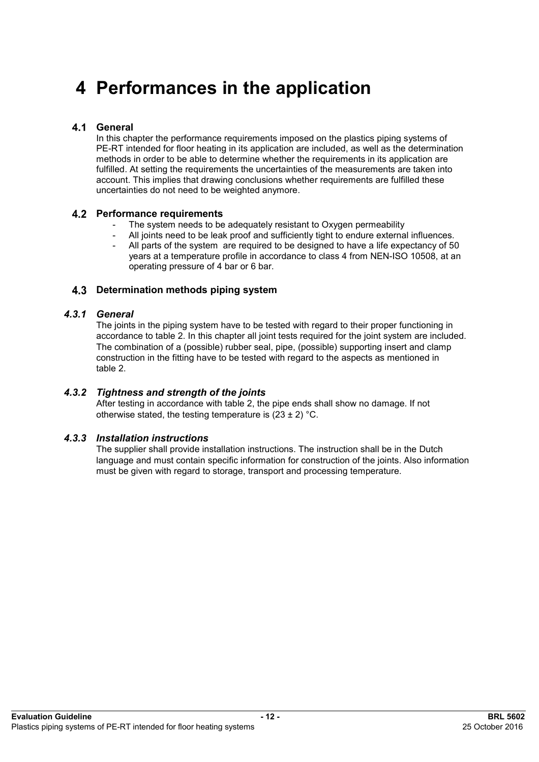# **4 Performances in the application**

# **General**

In this chapter the performance requirements imposed on the plastics piping systems of PE-RT intended for floor heating in its application are included, as well as the determination methods in order to be able to determine whether the requirements in its application are fulfilled. At setting the requirements the uncertainties of the measurements are taken into account. This implies that drawing conclusions whether requirements are fulfilled these uncertainties do not need to be weighted anymore.

# **Performance requirements**

- The system needs to be adequately resistant to Oxygen permeability
- All joints need to be leak proof and sufficiently tight to endure external influences.
- All parts of the system are required to be designed to have a life expectancy of 50 years at a temperature profile in accordance to class 4 from NEN-ISO 10508, at an operating pressure of 4 bar or 6 bar.

# **Determination methods piping system**

#### *4.3.1 General*

The joints in the piping system have to be tested with regard to their proper functioning in accordance to table 2. In this chapter all joint tests required for the joint system are included. The combination of a (possible) rubber seal, pipe, (possible) supporting insert and clamp construction in the fitting have to be tested with regard to the aspects as mentioned in table 2.

# *4.3.2 Tightness and strength of the joints*

After testing in accordance with table 2, the pipe ends shall show no damage. If not otherwise stated, the testing temperature is  $(23 \pm 2)$  °C.

# *4.3.3 Installation instructions*

The supplier shall provide installation instructions. The instruction shall be in the Dutch language and must contain specific information for construction of the joints. Also information must be given with regard to storage, transport and processing temperature.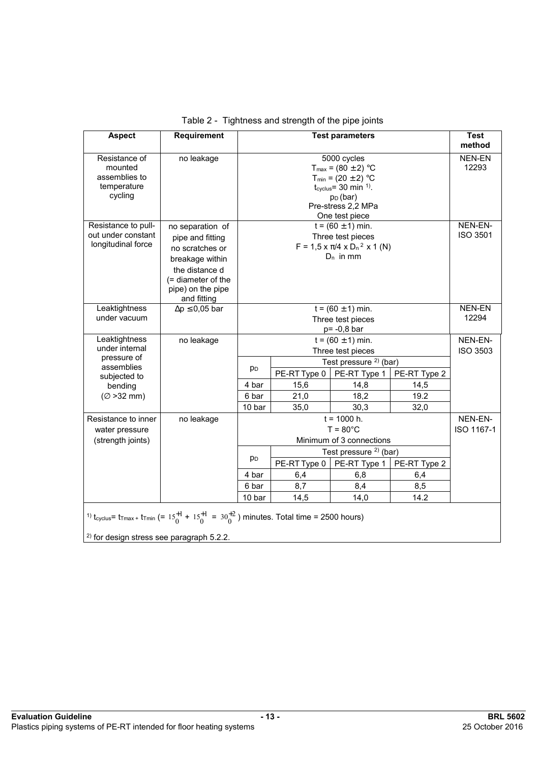| <b>Aspect</b>                                                                                                                                                                                          | Requirement              |                                                                | <b>Test parameters</b> |                                                  |              | <b>Test</b><br>method      |
|--------------------------------------------------------------------------------------------------------------------------------------------------------------------------------------------------------|--------------------------|----------------------------------------------------------------|------------------------|--------------------------------------------------|--------------|----------------------------|
| Resistance of                                                                                                                                                                                          | no leakage               |                                                                |                        | 5000 cycles                                      |              | <b>NEN-EN</b>              |
| mounted                                                                                                                                                                                                |                          |                                                                |                        | $T_{max}$ = (80 ± 2) °C                          |              | 12293                      |
| assemblies to                                                                                                                                                                                          |                          |                                                                |                        | $T_{min} = (20 \pm 2) °C$                        |              |                            |
| temperature                                                                                                                                                                                            |                          |                                                                |                        | $t_{\text{cyclus}}$ = 30 min <sup>1)</sup> .     |              |                            |
| cycling                                                                                                                                                                                                |                          |                                                                | $pD$ (bar)             |                                                  |              |                            |
|                                                                                                                                                                                                        |                          |                                                                | Pre-stress 2,2 MPa     |                                                  |              |                            |
| Resistance to pull-                                                                                                                                                                                    | no separation of         |                                                                |                        | One test piece<br>$t = (60 \pm 1)$ min.          |              | NEN-EN-                    |
| out under constant                                                                                                                                                                                     | pipe and fitting         |                                                                |                        | Three test pieces                                |              | <b>ISO 3501</b>            |
| longitudinal force                                                                                                                                                                                     | no scratches or          |                                                                |                        | $F = 1.5 \times \pi/4 \times D_n^2 \times 1$ (N) |              |                            |
|                                                                                                                                                                                                        | breakage within          |                                                                |                        | $D_n$ in mm                                      |              |                            |
|                                                                                                                                                                                                        | the distance d           |                                                                |                        |                                                  |              |                            |
|                                                                                                                                                                                                        | (= diameter of the       |                                                                |                        |                                                  |              |                            |
|                                                                                                                                                                                                        | pipe) on the pipe        |                                                                |                        |                                                  |              |                            |
|                                                                                                                                                                                                        | and fitting              |                                                                |                        |                                                  |              |                            |
| Leaktightness                                                                                                                                                                                          | $\Delta p \leq 0,05$ bar |                                                                | $t = (60 \pm 1)$ min.  |                                                  |              |                            |
| under vacuum                                                                                                                                                                                           |                          |                                                                | Three test pieces      |                                                  |              |                            |
|                                                                                                                                                                                                        |                          | $p = -0.8$ bar                                                 |                        |                                                  |              |                            |
| Leaktightness                                                                                                                                                                                          | no leakage               | $t = (60 \pm 1)$ min.                                          |                        |                                                  |              | NEN-EN-<br><b>ISO 3503</b> |
| under internal<br>pressure of                                                                                                                                                                          |                          |                                                                | Three test pieces      |                                                  |              |                            |
| assemblies                                                                                                                                                                                             |                          |                                                                |                        | Test pressure <sup>2</sup> (bar)                 |              |                            |
| subjected to                                                                                                                                                                                           |                          | p <sub>D</sub><br>PE-RT Type 0<br>PE-RT Type 1<br>PE-RT Type 2 |                        |                                                  |              |                            |
| bending                                                                                                                                                                                                |                          | 4 bar                                                          | 15,6                   | 14,8                                             | 14,5         |                            |
| $(\varnothing > 32$ mm)                                                                                                                                                                                |                          | 6 bar                                                          | 21,0                   | 18,2                                             | 19.2         |                            |
|                                                                                                                                                                                                        |                          | 10 bar                                                         | 35,0                   | 30,3                                             | 32,0         |                            |
| Resistance to inner                                                                                                                                                                                    | no leakage               |                                                                |                        | $t = 1000$ h.                                    |              | NEN-EN-                    |
| water pressure                                                                                                                                                                                         |                          |                                                                |                        | $T = 80^{\circ}$ C                               |              | ISO 1167-1                 |
| (strength joints)                                                                                                                                                                                      |                          |                                                                |                        | Minimum of 3 connections                         |              |                            |
|                                                                                                                                                                                                        |                          |                                                                |                        | Test pressure $2$ (bar)                          |              |                            |
|                                                                                                                                                                                                        |                          | p <sub>D</sub>                                                 | PE-RT Type 0           | PE-RT Type 1                                     | PE-RT Type 2 |                            |
|                                                                                                                                                                                                        |                          | 4 bar                                                          | 6,4                    | 6,8                                              | 6,4          |                            |
|                                                                                                                                                                                                        |                          | 6 bar                                                          | 8,7                    | 8,4                                              | 8,5          |                            |
|                                                                                                                                                                                                        |                          | 10 bar                                                         | 14,5                   | 14,0                                             | 14.2         |                            |
| <sup>1)</sup> t <sub>cyclus</sub> = t <sub>Tmax +</sub> t <sub>Tmin</sub> (= $15_0^{+1}$ + $15_0^{+1}$ = $30_0^{+2}$ ) minutes. Total time = 2500 hours)<br>$2)$ for design stress see naragraph 5.2.2 |                          |                                                                |                        |                                                  |              |                            |

| Table 2 - Tightness and strength of the pipe joints |  |  |
|-----------------------------------------------------|--|--|

<sup>2)</sup> for design stress see paragraph 5.2.2.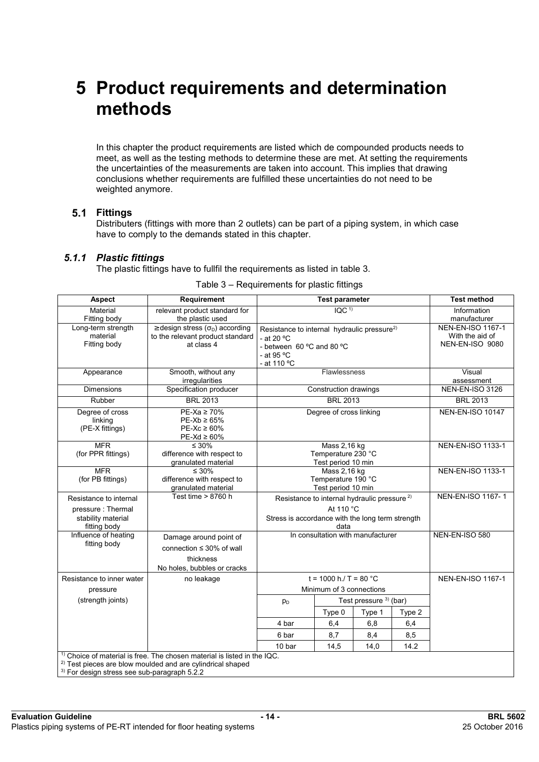# **5 Product requirements and determination methods**

In this chapter the product requirements are listed which de compounded products needs to meet, as well as the testing methods to determine these are met. At setting the requirements the uncertainties of the measurements are taken into account. This implies that drawing conclusions whether requirements are fulfilled these uncertainties do not need to be weighted anymore.

#### **Fittings**

Distributers (fittings with more than 2 outlets) can be part of a piping system, in which case have to comply to the demands stated in this chapter.

### *5.1.1 Plastic fittings*

The plastic fittings have to fullfil the requirements as listed in table 3.

| Aspect                                                  | <b>Requirement</b>                                                                                                                                           | <b>Test parameter</b>                                                 |                                                                                      | <b>Test method</b> |                                                                       |                          |
|---------------------------------------------------------|--------------------------------------------------------------------------------------------------------------------------------------------------------------|-----------------------------------------------------------------------|--------------------------------------------------------------------------------------|--------------------|-----------------------------------------------------------------------|--------------------------|
| Material<br>Fitting body                                | relevant product standard for<br>the plastic used                                                                                                            | IQC <sup>1</sup>                                                      |                                                                                      |                    | Information<br>manufacturer                                           |                          |
| Long-term strength<br>material<br>Fitting body          | $\ge$ design stress ( $\sigma$ <sub>D</sub> ) according<br>to the relevant product standard<br>at class 4                                                    | - at 20 $\degree$ C<br>- at 95 $^{\circ}$ C<br>- at 110 °C            | Resistance to internal hydraulic pressure <sup>2)</sup><br>- between 60 °C and 80 °C |                    | <b>NEN-EN-ISO 1167-1</b><br>With the aid of<br><b>NEN-EN-ISO 9080</b> |                          |
| Appearance                                              | Smooth, without any<br>irregularities                                                                                                                        |                                                                       | <b>Flawlessness</b>                                                                  |                    |                                                                       | Visual<br>assessment     |
| <b>Dimensions</b>                                       | Specification producer                                                                                                                                       |                                                                       | Construction drawings                                                                |                    |                                                                       | <b>NEN-EN-ISO 3126</b>   |
| Rubber                                                  | <b>BRL 2013</b>                                                                                                                                              |                                                                       | <b>BRL 2013</b>                                                                      |                    |                                                                       | <b>BRL 2013</b>          |
| Degree of cross<br>linking<br>(PE-X fittings)           | $PE-Xa \ge 70\%$<br>$PE-Xb \geq 65\%$<br>$PE-Xc \geq 60\%$<br>$PE-Xd \geq 60\%$                                                                              |                                                                       | Degree of cross linking                                                              |                    |                                                                       | NEN-EN-ISO 10147         |
| <b>MFR</b><br>(for PPR fittings)                        | $\leq 30\%$<br>difference with respect to<br>granulated material                                                                                             |                                                                       | Mass 2,16 kg<br>Temperature 230 °C<br>Test period 10 min                             |                    |                                                                       | <b>NEN-EN-ISO 1133-1</b> |
| <b>MFR</b><br>(for PB fittings)                         | $\leq 30\%$<br>difference with respect to<br>granulated material                                                                                             | Mass 2,16 kg<br>Temperature 190 °C<br>Test period 10 min              |                                                                                      |                    | <b>NEN-EN-ISO 1133-1</b>                                              |                          |
| Resistance to internal                                  | Test time $> 8760$ h                                                                                                                                         | Resistance to internal hydraulic pressure <sup>2)</sup>               |                                                                                      |                    | NEN-EN-ISO 1167-1                                                     |                          |
| pressure: Thermal<br>stability material<br>fitting body |                                                                                                                                                              | At 110 °C<br>Stress is accordance with the long term strength<br>data |                                                                                      |                    |                                                                       |                          |
| Influence of heating<br>fitting body                    | Damage around point of<br>connection $\leq 30\%$ of wall<br>thickness<br>No holes, bubbles or cracks                                                         | In consultation with manufacturer<br>NEN-EN-ISO 580                   |                                                                                      |                    |                                                                       |                          |
| Resistance to inner water                               | no leakage                                                                                                                                                   |                                                                       | $t = 1000$ h./ T = 80 °C                                                             |                    |                                                                       | <b>NEN-EN-ISO 1167-1</b> |
| pressure                                                |                                                                                                                                                              | Minimum of 3 connections                                              |                                                                                      |                    |                                                                       |                          |
| (strength joints)                                       |                                                                                                                                                              | Test pressure 3) (bar)<br>p <sub>D</sub>                              |                                                                                      |                    |                                                                       |                          |
|                                                         |                                                                                                                                                              |                                                                       | Type 0                                                                               | Type 1             | Type 2                                                                |                          |
|                                                         |                                                                                                                                                              | 4 bar                                                                 | 6,4                                                                                  | 6,8                | 6,4                                                                   |                          |
|                                                         |                                                                                                                                                              | 6 bar                                                                 | 8,7                                                                                  | 8,4                | 8,5                                                                   |                          |
|                                                         |                                                                                                                                                              | 10 bar                                                                | 14,5                                                                                 | 14,0               | 14.2                                                                  |                          |
| <sup>3)</sup> For design stress see sub-paragraph 5.2.2 | <sup>1)</sup> Choice of material is free. The chosen material is listed in the IQC.<br><sup>2)</sup> Test pieces are blow moulded and are cylindrical shaped |                                                                       |                                                                                      |                    |                                                                       |                          |

#### Table 3 – Requirements for plastic fittings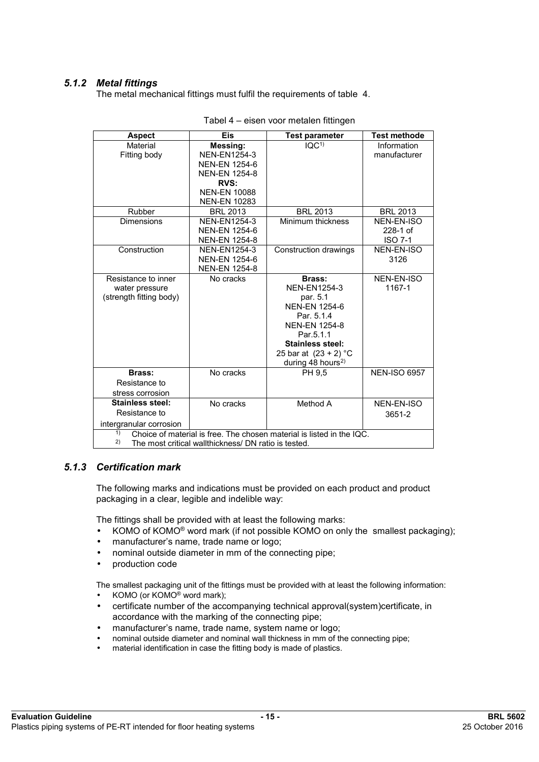### *5.1.2 Metal fittings*

The metal mechanical fittings must fulfil the requirements of table 4.

| <b>Aspect</b>                                                               | <b>Eis</b>           | <b>Test parameter</b>             | <b>Test methode</b> |  |  |
|-----------------------------------------------------------------------------|----------------------|-----------------------------------|---------------------|--|--|
| Material                                                                    | Messing:             | IQC <sup>1</sup>                  | Information         |  |  |
| Fitting body                                                                | <b>NEN-EN1254-3</b>  |                                   | manufacturer        |  |  |
|                                                                             | <b>NEN-EN 1254-6</b> |                                   |                     |  |  |
|                                                                             | <b>NEN-EN 1254-8</b> |                                   |                     |  |  |
|                                                                             | <b>RVS:</b>          |                                   |                     |  |  |
|                                                                             | <b>NEN-EN 10088</b>  |                                   |                     |  |  |
|                                                                             | <b>NEN-EN 10283</b>  |                                   |                     |  |  |
| Rubber                                                                      | <b>BRL 2013</b>      | <b>BRL 2013</b>                   | <b>BRL 2013</b>     |  |  |
| Dimensions                                                                  | <b>NEN-EN1254-3</b>  | Minimum thickness                 | NEN-EN-ISO          |  |  |
|                                                                             | <b>NEN-EN 1254-6</b> |                                   | 228-1 of            |  |  |
|                                                                             | <b>NEN-EN 1254-8</b> |                                   | <b>ISO 7-1</b>      |  |  |
| Construction                                                                | <b>NEN-EN1254-3</b>  | <b>Construction drawings</b>      | <b>NEN-EN-ISO</b>   |  |  |
|                                                                             | <b>NEN-EN 1254-6</b> |                                   | 3126                |  |  |
|                                                                             | <b>NEN-EN 1254-8</b> |                                   |                     |  |  |
| Resistance to inner                                                         | No cracks            | Brass:                            | NEN-EN-ISO          |  |  |
| water pressure                                                              |                      | <b>NEN-EN1254-3</b>               | 1167-1              |  |  |
| (strength fitting body)                                                     |                      | par. 5.1                          |                     |  |  |
|                                                                             |                      | <b>NEN-EN 1254-6</b>              |                     |  |  |
|                                                                             |                      | Par. 5.1.4                        |                     |  |  |
|                                                                             |                      | <b>NEN-EN 1254-8</b><br>Par.5.1.1 |                     |  |  |
|                                                                             |                      | <b>Stainless steel:</b>           |                     |  |  |
|                                                                             |                      | 25 bar at $(23 + 2) °C$           |                     |  |  |
|                                                                             |                      | during 48 hours <sup>2)</sup>     |                     |  |  |
| Brass:                                                                      | No cracks            | PH 9,5                            | <b>NEN-ISO 6957</b> |  |  |
| Resistance to                                                               |                      |                                   |                     |  |  |
| stress corrosion                                                            |                      |                                   |                     |  |  |
| <b>Stainless steel:</b>                                                     | No cracks            | Method A                          | NEN-EN-ISO          |  |  |
| Resistance to                                                               |                      |                                   |                     |  |  |
|                                                                             |                      |                                   | 3651-2              |  |  |
| intergranular corrosion<br>1)                                               |                      |                                   |                     |  |  |
| Choice of material is free. The chosen material is listed in the IQC.<br>2) |                      |                                   |                     |  |  |
| The most critical wallthickness/ DN ratio is tested.                        |                      |                                   |                     |  |  |

| Tabel 4 – eisen voor metalen fittingen |  |
|----------------------------------------|--|
|----------------------------------------|--|

# *5.1.3 Certification mark*

The following marks and indications must be provided on each product and product packaging in a clear, legible and indelible way:

The fittings shall be provided with at least the following marks:

- KOMO of KOMO<sup>®</sup> word mark (if not possible KOMO on only the smallest packaging);
- manufacturer's name, trade name or logo;
- nominal outside diameter in mm of the connecting pipe:
- production code

The smallest packaging unit of the fittings must be provided with at least the following information:

- KOMO (or KOMO<sup>®</sup> word mark);
- certificate number of the accompanying technical approval(system)certificate, in accordance with the marking of the connecting pipe;
- manufacturer's name, trade name, system name or logo;
- nominal outside diameter and nominal wall thickness in mm of the connecting pipe;
- material identification in case the fitting body is made of plastics.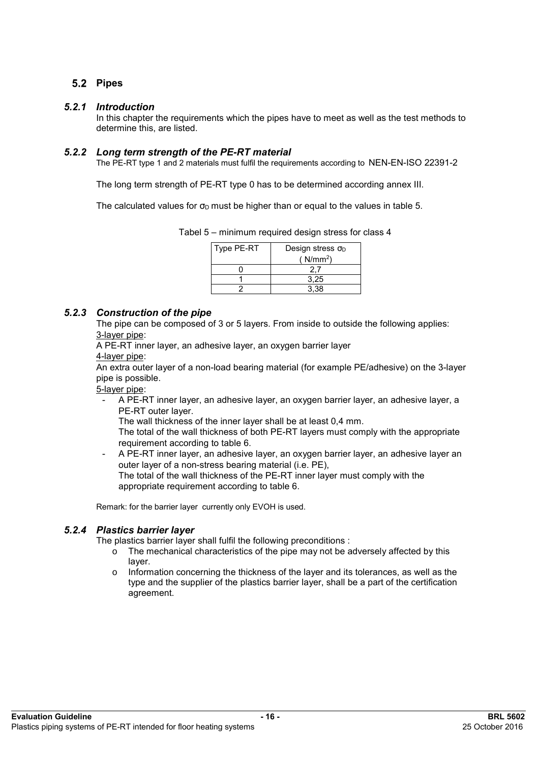# 5.2 Pipes

#### *5.2.1 Introduction*

In this chapter the requirements which the pipes have to meet as well as the test methods to determine this, are listed.

#### *5.2.2 Long term strength of the PE-RT material*

The PE-RT type 1 and 2 materials must fulfil the requirements according to NEN-EN-ISO 22391-2

The long term strength of PE-RT type 0 has to be determined according annex III.

The calculated values for  $\sigma_D$  must be higher than or equal to the values in table 5.

| Type PE-RT | Design stress $\sigma_D$ |
|------------|--------------------------|
|            | ( $N/mm2$ )              |
|            |                          |
|            | 3.25                     |
|            | 3.38                     |

Tabel 5 – minimum required design stress for class 4

# *5.2.3 Construction of the pipe*

The pipe can be composed of 3 or 5 layers. From inside to outside the following applies: 3-layer pipe:

A PE-RT inner layer, an adhesive layer, an oxygen barrier layer 4-layer pipe:

An extra outer layer of a non-load bearing material (for example PE/adhesive) on the 3-layer pipe is possible.

5-layer pipe:

- A PE-RT inner layer, an adhesive layer, an oxygen barrier layer, an adhesive layer, a PE-RT outer layer.

The wall thickness of the inner layer shall be at least 0,4 mm.

The total of the wall thickness of both PE-RT layers must comply with the appropriate requirement according to table 6.

- A PE-RT inner layer, an adhesive layer, an oxygen barrier layer, an adhesive layer an outer layer of a non-stress bearing material (i.e. PE), The total of the wall thickness of the PE-RT inner layer must comply with the appropriate requirement according to table 6.

Remark: for the barrier layer currently only EVOH is used.

# *5.2.4 Plastics barrier layer*

The plastics barrier layer shall fulfil the following preconditions :

- $\circ$  The mechanical characteristics of the pipe may not be adversely affected by this layer.
- $\circ$  Information concerning the thickness of the layer and its tolerances, as well as the type and the supplier of the plastics barrier layer, shall be a part of the certification agreement.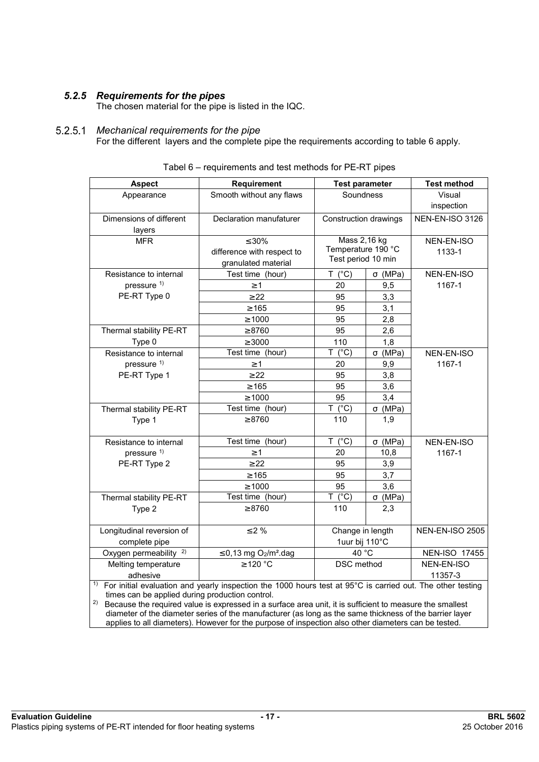# *5.2.5 Requirements for the pipes*

The chosen material for the pipe is listed in the IQC.

### *Mechanical requirements for the pipe*

For the different layers and the complete pipe the requirements according to table 6 apply.

| <b>Aspect</b>                                         | Requirement                                                                                                                                                                                                         | <b>Test parameter</b>           |                | <b>Test method</b>   |
|-------------------------------------------------------|---------------------------------------------------------------------------------------------------------------------------------------------------------------------------------------------------------------------|---------------------------------|----------------|----------------------|
| Appearance                                            | Smooth without any flaws                                                                                                                                                                                            | Soundness                       |                | Visual               |
|                                                       |                                                                                                                                                                                                                     |                                 |                | inspection           |
| Dimensions of different                               | Declaration manufaturer                                                                                                                                                                                             | Construction drawings           |                | NEN-EN-ISO 3126      |
| layers                                                |                                                                                                                                                                                                                     |                                 |                |                      |
| <b>MFR</b>                                            | $\leq 30\%$                                                                                                                                                                                                         | Mass 2,16 kg                    |                | NEN-EN-ISO           |
|                                                       | difference with respect to                                                                                                                                                                                          | Temperature 190 °C              |                | 1133-1               |
|                                                       | granulated material                                                                                                                                                                                                 | Test period 10 min              |                |                      |
| Resistance to internal                                | Test time (hour)                                                                                                                                                                                                    | T (°C)                          | $\sigma$ (MPa) | NEN-EN-ISO           |
| pressure <sup>1)</sup>                                | $\geq 1$                                                                                                                                                                                                            | 20                              | 9,5            | 1167-1               |
| PE-RT Type 0                                          | $\geq 22$                                                                                                                                                                                                           | 95                              | 3,3            |                      |
|                                                       | $\geq 165$                                                                                                                                                                                                          | 95                              | 3,1            |                      |
|                                                       | $\geq 1000$                                                                                                                                                                                                         | 95                              | 2,8            |                      |
| Thermal stability PE-RT                               | $\geq 8760$                                                                                                                                                                                                         | 95                              | 2,6            |                      |
| Type 0                                                | $\geq 3000$                                                                                                                                                                                                         | 110                             | 1,8            |                      |
| Resistance to internal                                | Test time (hour)                                                                                                                                                                                                    | $\overline{({}^{\circ}C)}$<br>т | $\sigma$ (MPa) | NEN-EN-ISO           |
| pressure <sup>1)</sup>                                | $\geq$ 1                                                                                                                                                                                                            | 20                              | 9,9            | 1167-1               |
| PE-RT Type 1                                          | $\geq$ 22                                                                                                                                                                                                           | 95                              | 3,8            |                      |
|                                                       | $\geq 165$                                                                                                                                                                                                          | 95                              | 3,6            |                      |
|                                                       | $\geq 1000$                                                                                                                                                                                                         | 95                              | 3,4            |                      |
| Thermal stability PE-RT                               | Test time (hour)                                                                                                                                                                                                    | T (°C)                          | $\sigma$ (MPa) |                      |
| Type 1                                                | $\geq 8760$                                                                                                                                                                                                         | 110                             | 1,9            |                      |
|                                                       |                                                                                                                                                                                                                     |                                 |                |                      |
| Resistance to internal                                | Test time (hour)                                                                                                                                                                                                    | T<br>$(^{\circ}C)$              | $\sigma$ (MPa) | NEN-EN-ISO           |
| pressure <sup>1)</sup>                                | $\geq$ 1                                                                                                                                                                                                            | 20                              | 10,8           | 1167-1               |
| PE-RT Type 2                                          | $\geq$ 22                                                                                                                                                                                                           | 95                              | 3,9            |                      |
|                                                       | $\geq 165$                                                                                                                                                                                                          | 95                              | 3,7            |                      |
|                                                       | $\geq 1000$                                                                                                                                                                                                         | 95                              | 3,6            |                      |
| Thermal stability PE-RT                               | Test time (hour)                                                                                                                                                                                                    | $(^{\circ}C)$<br>Τ              | $\sigma$ (MPa) |                      |
| Type 2                                                | $\geq 8760$                                                                                                                                                                                                         | 110                             | 2,3            |                      |
| Longitudinal reversion of                             | $\leq 2\%$                                                                                                                                                                                                          | Change in length                |                | NEN-EN-ISO 2505      |
| complete pipe                                         |                                                                                                                                                                                                                     | 1uur bij 110°C                  |                |                      |
| Oxygen permeability <sup>2)</sup>                     | $\leq$ 0,13 mg O <sub>2</sub> /m <sup>2</sup> .dag                                                                                                                                                                  | 40 °C                           |                | <b>NEN-ISO 17455</b> |
| Melting temperature                                   | $\geq$ 120 °C                                                                                                                                                                                                       | DSC method                      |                | NEN-EN-ISO           |
| adhesive                                              |                                                                                                                                                                                                                     |                                 |                | 11357-3              |
| 1)                                                    | For initial evaluation and yearly inspection the 1000 hours test at 95°C is carried out. The other testing                                                                                                          |                                 |                |                      |
| times can be applied during production control.<br>2) |                                                                                                                                                                                                                     |                                 |                |                      |
|                                                       | Because the required value is expressed in a surface area unit, it is sufficient to measure the smallest<br>diameter of the diameter series of the manufacturer (as long as the same thickness of the barrier layer |                                 |                |                      |

|  |  |  | Tabel 6 – requirements and test methods for PE-RT pipes |
|--|--|--|---------------------------------------------------------|
|--|--|--|---------------------------------------------------------|

applies to all diameters). However for the purpose of inspection also other diameters can be tested.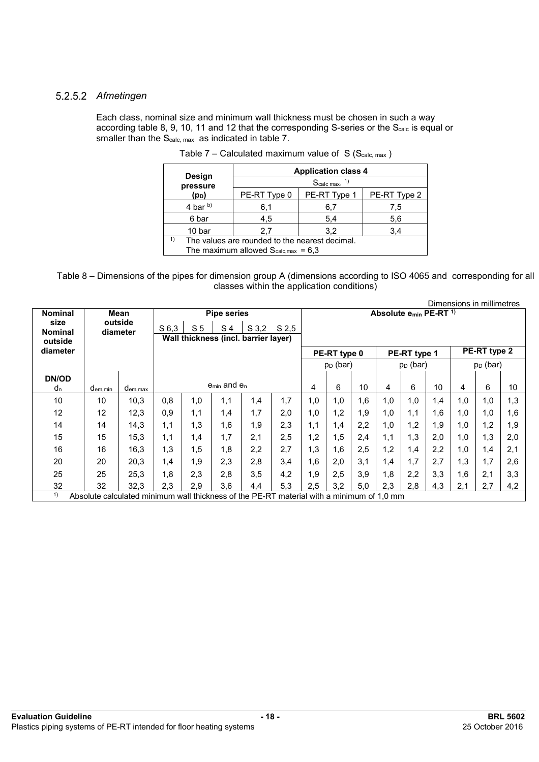#### *Afmetingen*

Each class, nominal size and minimum wall thickness must be chosen in such a way according table 8, 9, 10, 11 and 12 that the corresponding S-series or the Scalc is equal or smaller than the S<sub>calc, max</sub> as indicated in table 7.

|                           | <b>Application class 4</b>                     |              |     |  |  |  |  |  |  |
|---------------------------|------------------------------------------------|--------------|-----|--|--|--|--|--|--|
| <b>Design</b><br>pressure | $S_{\text{calc max.}}$ <sup>1)</sup>           |              |     |  |  |  |  |  |  |
| (po)                      | PE-RT Type 0                                   | PE-RT Type 1 |     |  |  |  |  |  |  |
| 4 bar $b$ )               | 6,1                                            | 6,7          | 7,5 |  |  |  |  |  |  |
| 6 bar                     | 4,5                                            | 5,4          | 5,6 |  |  |  |  |  |  |
| 10 bar                    | 2,7                                            | 3.2          | 3,4 |  |  |  |  |  |  |
|                           | The values are rounded to the nearest decimal. |              |     |  |  |  |  |  |  |
|                           | The maximum allowed $S_{calc,max} = 6.3$       |              |     |  |  |  |  |  |  |

| Table 7 – Calculated maximum value of S ( $Scalc, max$ ) |  |  |  |
|----------------------------------------------------------|--|--|--|
|----------------------------------------------------------|--|--|--|

Table 8 – Dimensions of the pipes for dimension group A (dimensions according to ISO 4065 and corresponding for all classes within the application conditions)

|                           |                                                                                           |                     |       |                                                    |                                      |     |     |     |                                               |     |     |              |     |     | Dimensions in millimetres |     |
|---------------------------|-------------------------------------------------------------------------------------------|---------------------|-------|----------------------------------------------------|--------------------------------------|-----|-----|-----|-----------------------------------------------|-----|-----|--------------|-----|-----|---------------------------|-----|
| <b>Nominal</b>            |                                                                                           | Mean                |       | <b>Pipe series</b>                                 |                                      |     |     |     | Absolute e <sub>min</sub> PE-RT <sup>1)</sup> |     |     |              |     |     |                           |     |
| size                      |                                                                                           | outside<br>diameter | S 6.3 | S <sub>5</sub><br>S 4<br>S 3.2<br>S <sub>2,5</sub> |                                      |     |     |     |                                               |     |     |              |     |     |                           |     |
| <b>Nominal</b><br>outside |                                                                                           |                     |       |                                                    | Wall thickness (incl. barrier layer) |     |     |     |                                               |     |     |              |     |     |                           |     |
| diameter                  |                                                                                           |                     |       |                                                    |                                      |     |     |     | PE-RT type 0                                  |     |     | PE-RT type 1 |     |     | PE-RT type 2              |     |
|                           |                                                                                           |                     |       |                                                    |                                      |     |     |     | $p_D$ (bar)                                   |     |     | $pD$ (bar)   |     |     | $p_D$ (bar)               |     |
| DN/OD                     |                                                                                           |                     |       |                                                    |                                      |     |     |     |                                               |     |     |              |     |     |                           |     |
| $d_n$                     | d <sub>em,min</sub>                                                                       | $d_{em,max}$        |       |                                                    | $e_{min}$ and $e_n$                  |     |     | 4   | 6                                             | 10  | 4   | 6            | 10  | 4   | 6                         | 10  |
| 10                        | 10                                                                                        | 10,3                | 0,8   | 1,0                                                | 1,1                                  | 1,4 | 1,7 | 1,0 | 1,0                                           | 1,6 | 1,0 | 1,0          | 1,4 | 1,0 | 1,0                       | 1,3 |
| 12                        | 12                                                                                        | 12,3                | 0,9   | 1,1                                                | 1,4                                  | 1,7 | 2,0 | 1,0 | 1,2                                           | 1,9 | 1,0 | 1,1          | 1,6 | 1,0 | 1,0                       | 1,6 |
| 14                        | 14                                                                                        | 14,3                | 1,1   | 1,3                                                | 1,6                                  | 1,9 | 2,3 | 1,1 | 1,4                                           | 2,2 | 1,0 | 1,2          | 1,9 | 1,0 | 1,2                       | 1,9 |
| 15                        | 15                                                                                        | 15,3                | 1.1   | 1.4                                                | 1.7                                  | 2,1 | 2,5 | 1.2 | 1,5                                           | 2,4 | 1,1 | 1,3          | 2,0 | 1,0 | 1,3                       | 2,0 |
| 16                        | 16                                                                                        | 16,3                | 1,3   | 1,5                                                | 1,8                                  | 2,2 | 2,7 | 1,3 | 1,6                                           | 2,5 | 1,2 | 1,4          | 2,2 | 1,0 | 1,4                       | 2,1 |
| 20                        | 20                                                                                        | 20,3                | 1,4   | 1,9                                                | 2,3                                  | 2,8 | 3,4 | 1,6 | 2,0                                           | 3,1 | 1,4 | 1,7          | 2,7 | 1,3 | 1,7                       | 2,6 |
| 25                        | 25                                                                                        | 25,3                | 1,8   | 2,3                                                | 2,8                                  | 3,5 | 4,2 | 1,9 | 2,5                                           | 3,9 | 1,8 | 2,2          | 3,3 | 1,6 | 2,1                       | 3,3 |
| 32                        | 32                                                                                        | 32,3                | 2,3   | 2,9                                                | 3,6                                  | 4,4 | 5,3 | 2,5 | 3,2                                           | 5,0 | 2,3 | 2,8          | 4,3 | 2,1 | 2,7                       | 4,2 |
| 1)                        | Absolute calculated minimum wall thickness of the PE-RT material with a minimum of 1.0 mm |                     |       |                                                    |                                      |     |     |     |                                               |     |     |              |     |     |                           |     |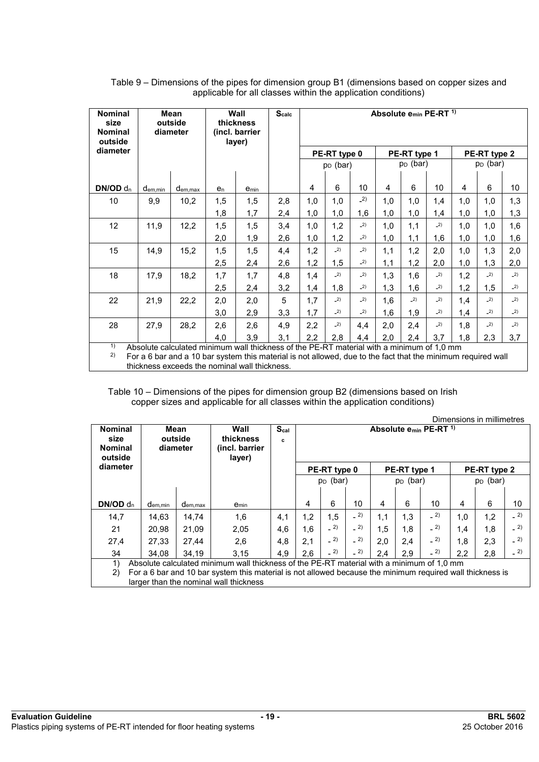| <b>Nominal</b><br>size<br><b>Nominal</b><br>outside |                             | <b>Mean</b><br>outside<br>diameter                                                                           |                | Wall<br>thickness<br>(incl. barrier<br>layer) | <b>Scalc</b> | Absolute e <sub>min</sub> PE-RT <sup>1)</sup> |                      |                 |              |                      |       |              |                      |       |
|-----------------------------------------------------|-----------------------------|--------------------------------------------------------------------------------------------------------------|----------------|-----------------------------------------------|--------------|-----------------------------------------------|----------------------|-----------------|--------------|----------------------|-------|--------------|----------------------|-------|
| diameter                                            |                             |                                                                                                              |                |                                               |              |                                               | PE-RT type 0         |                 | PE-RT type 1 |                      |       | PE-RT type 2 |                      |       |
|                                                     |                             |                                                                                                              |                |                                               |              |                                               | p <sub>D</sub> (bar) |                 |              | p <sub>D</sub> (bar) |       |              | p <sub>D</sub> (bar) |       |
| $DN/OD$ d <sub>n</sub>                              |                             |                                                                                                              | e <sub>n</sub> | emin                                          |              | 4                                             | 6                    | 10 <sup>1</sup> | 4            | 6                    | 10    | 4            | 6                    | 10    |
| 10                                                  | d <sub>em, min</sub><br>9,9 | d <sub>em, max</sub><br>10,2                                                                                 | 1,5            |                                               | 2,8          |                                               | 1,0                  | $-2)$           | 1,0          | 1,0                  | 1,4   | 1,0          |                      | 1,3   |
|                                                     |                             |                                                                                                              |                | 1,5                                           |              | 1,0                                           |                      |                 |              |                      |       |              | 1,0                  |       |
|                                                     |                             |                                                                                                              | 1,8            | 1,7                                           | 2,4          | 1,0                                           | 1,0                  | 1,6             | 1,0          | 1,0                  | 1,4   | 1,0          | 1,0                  | 1,3   |
| 12                                                  | 11,9                        | 12,2                                                                                                         | 1,5            | 1,5                                           | 3,4          | 1,0                                           | 1,2                  | $-2)$           | 1,0          | 1,1                  | $-2)$ | 1,0          | 1,0                  | 1,6   |
|                                                     |                             |                                                                                                              | 2,0            | 1,9                                           | 2,6          | 1,0                                           | 1,2                  | $-2)$           | 1,0          | 1,1                  | 1,6   | 1,0          | 1,0                  | 1,6   |
| 15                                                  | 14,9                        | 15,2                                                                                                         | 1,5            | 1,5                                           | 4,4          | 1,2                                           | $-2)$                | $-2)$           | 1,1          | 1,2                  | 2,0   | 1,0          | 1,3                  | 2,0   |
|                                                     |                             |                                                                                                              | 2,5            | 2,4                                           | 2,6          | 1,2                                           | 1,5                  | $-2)$           | 1,1          | 1,2                  | 2,0   | 1,0          | 1,3                  | 2,0   |
| 18                                                  | 17,9                        | 18,2                                                                                                         | 1,7            | 1,7                                           | 4,8          | 1,4                                           | $-2)$                | (2)             | 1,3          | 1,6                  | $-2)$ | 1,2          | $-2)$                | $-2)$ |
|                                                     |                             |                                                                                                              | 2,5            | 2,4                                           | 3,2          | 1,4                                           | 1,8                  | (2)             | 1,3          | 1,6                  | $-2)$ | 1,2          | 1,5                  | $-2)$ |
| 22                                                  | 21,9                        | 22,2                                                                                                         | 2,0            | 2,0                                           | 5            | 1,7                                           | $-2)$                | (2)             | 1,6          | $-2)$                | $-2)$ | 1,4          | $-2)$                | $-2)$ |
|                                                     |                             |                                                                                                              | 3,0            | 2,9                                           | 3,3          | 1,7                                           | $-2)$                | $-2)$           | 1,6          | 1,9                  | $-2)$ | 1,4          | $-2)$                | $-2)$ |
| 28                                                  | 27,9                        | 28,2                                                                                                         | 2,6            | 2,6                                           | 4,9          | 2,2                                           | $-2)$                | 4,4             | 2,0          | 2,4                  | $-2)$ | 1,8          | $-2)$                | $-2)$ |
|                                                     |                             |                                                                                                              | 4,0            | 3,9                                           | 3,1          | 2,2                                           | 2,8                  | 4,4             | 2,0          | 2,4                  | 3,7   | 1,8          | 2,3                  | 3,7   |
| 1)                                                  |                             | Absolute calculated minimum wall thickness of the PE-RT material with a minimum of 1,0 mm                    |                |                                               |              |                                               |                      |                 |              |                      |       |              |                      |       |
| 2)                                                  |                             | For a 6 bar and a 10 bar system this material is not allowed, due to the fact that the minimum required wall |                |                                               |              |                                               |                      |                 |              |                      |       |              |                      |       |
|                                                     |                             | thickness exceeds the nominal wall thickness.                                                                |                |                                               |              |                                               |                      |                 |              |                      |       |              |                      |       |

Table 9 – Dimensions of the pipes for dimension group B1 (dimensions based on copper sizes and applicable for all classes within the application conditions)

Table 10 – Dimensions of the pipes for dimension group B2 (dimensions based on Irish copper sizes and applicable for all classes within the application conditions)

|                                                     |                     |                             |                                                                                                                                                                                                                                                  |                       |                                               |              |       |     |              |       |     | Dimensions in millimetres |       |
|-----------------------------------------------------|---------------------|-----------------------------|--------------------------------------------------------------------------------------------------------------------------------------------------------------------------------------------------------------------------------------------------|-----------------------|-----------------------------------------------|--------------|-------|-----|--------------|-------|-----|---------------------------|-------|
| <b>Nominal</b><br>size<br><b>Nominal</b><br>outside |                     | Mean<br>outside<br>diameter | Wall<br>thickness<br>(incl. barrier<br>layer)                                                                                                                                                                                                    | S <sub>cal</sub><br>c | Absolute e <sub>min</sub> PE-RT <sup>1)</sup> |              |       |     |              |       |     |                           |       |
| diameter                                            |                     |                             |                                                                                                                                                                                                                                                  |                       |                                               | PE-RT type 0 |       |     | PE-RT type 1 |       |     | PE-RT type 2              |       |
|                                                     |                     |                             |                                                                                                                                                                                                                                                  |                       |                                               | $p_D$ (bar)  |       |     | $p_D$ (bar)  |       |     | $p_D$ (bar)               |       |
|                                                     |                     |                             |                                                                                                                                                                                                                                                  |                       |                                               |              |       |     |              |       |     |                           |       |
| $DN/OD$ d <sub>n</sub>                              | d <sub>em,min</sub> | d <sub>em,max</sub>         | $e_{min}$                                                                                                                                                                                                                                        |                       | 4                                             | 6            | 10    | 4   | 6            | 10    | 4   | 6                         | 10    |
| 14,7                                                | 14,63               | 14,74                       | 1,6                                                                                                                                                                                                                                              | 4,1                   | 1,2                                           | 1,5          | $-2)$ | 1,1 | 1,3          | $-2)$ | 1,0 | 1,2                       | $-2)$ |
| 21                                                  | 20,98               | 21.09                       | 2,05                                                                                                                                                                                                                                             | 4,6                   | 1,6                                           | $-2)$        | $= 2$ | 1,5 | 1,8          | $-2)$ | 1,4 | 1,8                       | $-2)$ |
| 27,4                                                | 27.33               | 27.44                       | 2,6                                                                                                                                                                                                                                              | 4,8                   | 2,1                                           | $-2)$        | $= 2$ | 2,0 | 2,4          | $-2)$ | 1,8 | 2,3                       | $-2)$ |
| 34                                                  | 34.08               | 34,19                       | 3,15                                                                                                                                                                                                                                             | 4,9                   | 2,6                                           | $-2)$        | $= 2$ | 2,4 | 2,9          | $-2)$ | 2,2 | 2,8                       | $-2)$ |
| 1)<br>2)                                            |                     |                             | Absolute calculated minimum wall thickness of the PE-RT material with a minimum of 1,0 mm<br>For a 6 bar and 10 bar system this material is not allowed because the minimum required wall thickness is<br>larger than the nominal wall thickness |                       |                                               |              |       |     |              |       |     |                           |       |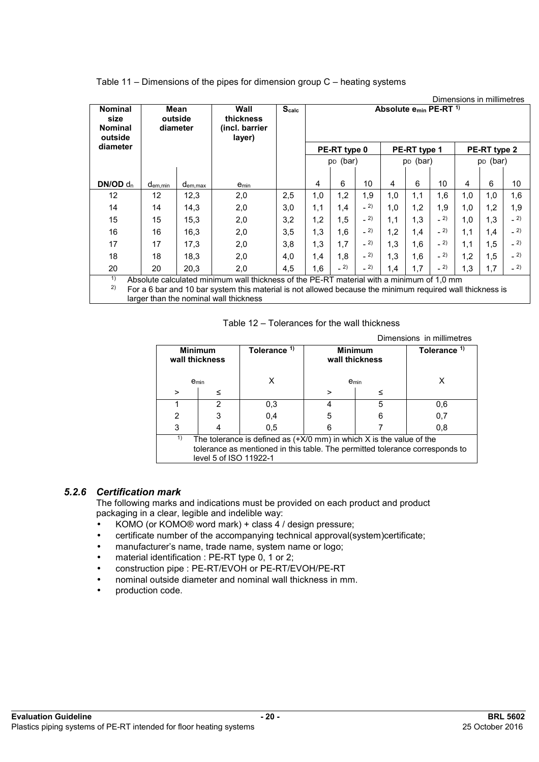|                                                     |              |                             |                                                                                                                                                                                                                                                  |              |                                               |              |       |     |              |       | Dimensions in millimetres |              |       |
|-----------------------------------------------------|--------------|-----------------------------|--------------------------------------------------------------------------------------------------------------------------------------------------------------------------------------------------------------------------------------------------|--------------|-----------------------------------------------|--------------|-------|-----|--------------|-------|---------------------------|--------------|-------|
| <b>Nominal</b><br>size<br><b>Nominal</b><br>outside |              | Mean<br>outside<br>diameter | Wall<br>thickness<br>(incl. barrier<br>layer)                                                                                                                                                                                                    | <b>Scalc</b> | Absolute e <sub>min</sub> PE-RT <sup>1)</sup> |              |       |     |              |       |                           |              |       |
| diameter                                            |              |                             |                                                                                                                                                                                                                                                  |              |                                               | PE-RT type 0 |       |     | PE-RT type 1 |       |                           | PE-RT type 2 |       |
|                                                     |              |                             |                                                                                                                                                                                                                                                  |              |                                               | $p_D$ (bar)  |       |     | $p_D$ (bar)  |       |                           | $p_D$ (bar)  |       |
| $DN/OD$ d <sub>n</sub>                              | $d_{em,min}$ | d <sub>em,max</sub>         | $e_{min}$                                                                                                                                                                                                                                        |              | 4                                             | 6            | 10    | 4   | 6            | 10    | 4                         | 6            | 10    |
| 12                                                  | 12           | 12,3                        | 2,0                                                                                                                                                                                                                                              | 2,5          | 1,0                                           | 1,2          | 1,9   | 1,0 | 1,1          | 1,6   | 1,0                       | 1,0          | 1,6   |
| 14                                                  | 14           | 14,3                        | 2,0                                                                                                                                                                                                                                              | 3,0          | 1,1                                           | 1,4          | $-2)$ | 1,0 | 1,2          | 1,9   | 1,0                       | 1,2          | 1,9   |
| 15                                                  | 15           | 15,3                        | 2,0                                                                                                                                                                                                                                              | 3,2          | 1,2                                           | 1,5          | $-2)$ | 1,1 | 1,3          | $-2)$ | 1,0                       | 1,3          | $-2)$ |
| 16                                                  | 16           | 16,3                        | 2,0                                                                                                                                                                                                                                              | 3,5          | 1,3                                           | 1,6          | $= 2$ | 1,2 | 1,4          | $-2)$ | 1,1                       | 1,4          | $-2)$ |
| 17                                                  | 17           | 17,3                        | 2,0                                                                                                                                                                                                                                              | 3,8          | 1,3                                           | 1.7          | $= 2$ | 1,3 | 1,6          | $-2)$ | 1,1                       | 1,5          | $-2)$ |
| 18                                                  | 18           | 18,3                        | 2,0                                                                                                                                                                                                                                              | 4,0          | 1,4                                           | 1,8          | $-2)$ | 1,3 | 1,6          | $-2)$ | 1,2                       | 1,5          | $-2)$ |
| 20                                                  | 20           | 20,3                        | 2,0                                                                                                                                                                                                                                              | 4,5          | 1,6                                           | $= 2$        | $-2)$ | 1,4 | 1,7          | $-2)$ | 1,3                       | 1,7          | $-2)$ |
| 1)<br>2)                                            |              |                             | Absolute calculated minimum wall thickness of the PE-RT material with a minimum of 1,0 mm<br>For a 6 bar and 10 bar system this material is not allowed because the minimum required wall thickness is<br>larger than the nominal wall thickness |              |                                               |              |       |     |              |       |                           |              |       |

Table 11 – Dimensions of the pipes for dimension group C – heating systems

|                | Dimensions in millimetres        |                                                                                                                                                        |                |                |                         |  |  |  |  |  |  |
|----------------|----------------------------------|--------------------------------------------------------------------------------------------------------------------------------------------------------|----------------|----------------|-------------------------|--|--|--|--|--|--|
|                | <b>Minimum</b><br>wall thickness | Tolerance <sup>1)</sup>                                                                                                                                | wall thickness | <b>Minimum</b> | Tolerance <sup>1)</sup> |  |  |  |  |  |  |
|                | emin                             |                                                                                                                                                        |                | <b>e</b> min   | х                       |  |  |  |  |  |  |
| >              | ≤                                |                                                                                                                                                        | $\geq$         | ≤              |                         |  |  |  |  |  |  |
|                | 2                                | 0,3                                                                                                                                                    |                | 5              | 0,6                     |  |  |  |  |  |  |
| $\overline{2}$ | 3                                | 0,4                                                                                                                                                    | 5              | 6              | 0,7                     |  |  |  |  |  |  |
| 3              |                                  | 0,5                                                                                                                                                    | 6              |                | 0.8                     |  |  |  |  |  |  |
| 1)             | level 5 of ISO 11922-1           | The tolerance is defined as $(+X/0$ mm) in which X is the value of the<br>tolerance as mentioned in this table. The permitted tolerance corresponds to |                |                |                         |  |  |  |  |  |  |

#### *5.2.6 Certification mark*

The following marks and indications must be provided on each product and product packaging in a clear, legible and indelible way:

- KOMO (or KOMO® word mark) + class 4 / design pressure;
- certificate number of the accompanying technical approval(system)certificate;
- manufacturer's name, trade name, system name or logo;
- material identification : PE-RT type 0, 1 or 2;
- construction pipe : PE-RT/EVOH or PE-RT/EVOH/PE-RT
- nominal outside diameter and nominal wall thickness in mm.
- production code.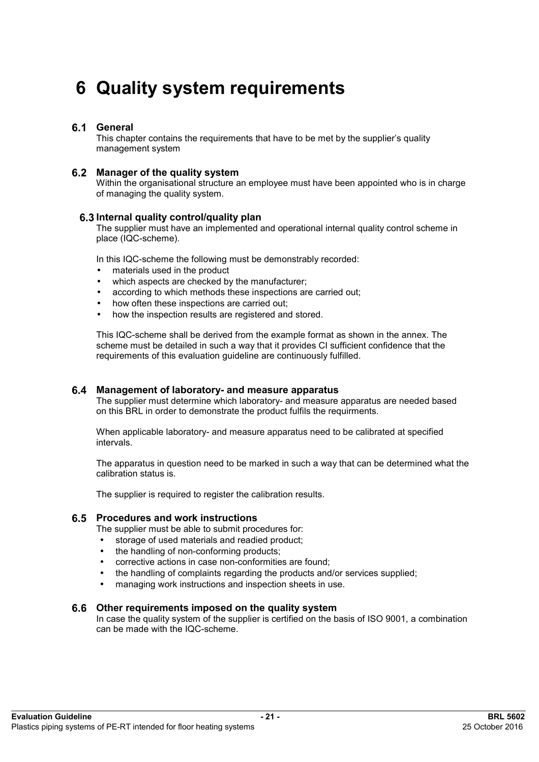# **6 Quality system requirements**

### **General**

This chapter contains the requirements that have to be met by the supplier's quality management system

#### **Manager of the quality system**

Within the organisational structure an employee must have been appointed who is in charge of managing the quality system.

#### **Internal quality control/quality plan**

The supplier must have an implemented and operational internal quality control scheme in place (IQC-scheme).

In this IQC-scheme the following must be demonstrably recorded:

- materials used in the product
- which aspects are checked by the manufacturer;
- according to which methods these inspections are carried out;
- how often these inspections are carried out;
- how the inspection results are registered and stored.

This IQC-scheme shall be derived from the example format as shown in the annex. The scheme must be detailed in such a way that it provides CI sufficient confidence that the requirements of this evaluation guideline are continuously fulfilled.

#### **Management of laboratory- and measure apparatus**

The supplier must determine which laboratory- and measure apparatus are needed based on this BRL in order to demonstrate the product fulfils the requirments.

When applicable laboratory- and measure apparatus need to be calibrated at specified intervals.

The apparatus in question need to be marked in such a way that can be determined what the calibration status is.

The supplier is required to register the calibration results.

#### $6.5$ **Procedures and work instructions**

The supplier must be able to submit procedures for:

- storage of used materials and readied product;
- the handling of non-conforming products:
- corrective actions in case non-conformities are found;
- the handling of complaints regarding the products and/or services supplied;
- managing work instructions and inspection sheets in use.

#### **Other requirements imposed on the quality system**

In case the quality system of the supplier is certified on the basis of ISO 9001, a combination can be made with the IQC-scheme.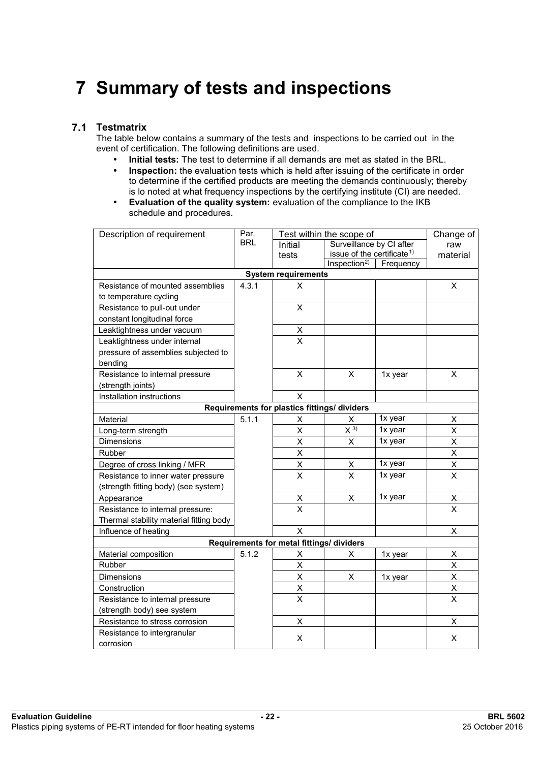# **7 Summary of tests and inspections**

# **7.1 Testmatrix**

The table below contains a summary of the tests and inspections to be carried out in the event of certification. The following definitions are used.

- **Initial tests:** The test to determine if all demands are met as stated in the BRL.
- **Inspection:** the evaluation tests which is held after issuing of the certificate in order to determine if the certified products are meeting the demands continuously; thereby is lo noted at what frequency inspections by the certifying institute (CI) are needed.
- **Evaluation of the quality system:** evaluation of the compliance to the IKB schedule and procedures.

| Description of requirement                                                                                                                                                                                                                                                                                                                                                                                                                            | Par.       |                                                                                                                                                    | Test within the scope of               |                    |                                      |  |  |
|-------------------------------------------------------------------------------------------------------------------------------------------------------------------------------------------------------------------------------------------------------------------------------------------------------------------------------------------------------------------------------------------------------------------------------------------------------|------------|----------------------------------------------------------------------------------------------------------------------------------------------------|----------------------------------------|--------------------|--------------------------------------|--|--|
|                                                                                                                                                                                                                                                                                                                                                                                                                                                       | <b>BRL</b> | Initial                                                                                                                                            | Surveillance by CI after               |                    | raw                                  |  |  |
|                                                                                                                                                                                                                                                                                                                                                                                                                                                       |            | tests                                                                                                                                              | issue of the certificate <sup>1)</sup> |                    | material                             |  |  |
|                                                                                                                                                                                                                                                                                                                                                                                                                                                       |            |                                                                                                                                                    | Inspection <sup>2</sup>                | Frequency          |                                      |  |  |
|                                                                                                                                                                                                                                                                                                                                                                                                                                                       |            | <b>System requirements</b>                                                                                                                         |                                        |                    |                                      |  |  |
| Resistance of mounted assemblies                                                                                                                                                                                                                                                                                                                                                                                                                      | 4.3.1      | X                                                                                                                                                  |                                        |                    | X                                    |  |  |
| to temperature cycling                                                                                                                                                                                                                                                                                                                                                                                                                                |            |                                                                                                                                                    |                                        |                    |                                      |  |  |
| Resistance to pull-out under                                                                                                                                                                                                                                                                                                                                                                                                                          |            | X                                                                                                                                                  |                                        |                    |                                      |  |  |
| constant longitudinal force                                                                                                                                                                                                                                                                                                                                                                                                                           |            |                                                                                                                                                    |                                        |                    |                                      |  |  |
| Leaktightness under vacuum                                                                                                                                                                                                                                                                                                                                                                                                                            |            | X                                                                                                                                                  |                                        |                    |                                      |  |  |
| Leaktightness under internal                                                                                                                                                                                                                                                                                                                                                                                                                          |            | X                                                                                                                                                  |                                        |                    |                                      |  |  |
| pressure of assemblies subjected to                                                                                                                                                                                                                                                                                                                                                                                                                   |            |                                                                                                                                                    |                                        |                    |                                      |  |  |
| bending                                                                                                                                                                                                                                                                                                                                                                                                                                               |            |                                                                                                                                                    |                                        |                    |                                      |  |  |
| Resistance to internal pressure                                                                                                                                                                                                                                                                                                                                                                                                                       |            | X                                                                                                                                                  | X                                      | 1x year            | X                                    |  |  |
| (strength joints)                                                                                                                                                                                                                                                                                                                                                                                                                                     |            |                                                                                                                                                    |                                        |                    |                                      |  |  |
| Installation instructions                                                                                                                                                                                                                                                                                                                                                                                                                             |            | X                                                                                                                                                  |                                        |                    |                                      |  |  |
|                                                                                                                                                                                                                                                                                                                                                                                                                                                       |            |                                                                                                                                                    |                                        |                    |                                      |  |  |
| Material                                                                                                                                                                                                                                                                                                                                                                                                                                              | 5.1.1      | X                                                                                                                                                  | X                                      | 1x year            | X                                    |  |  |
|                                                                                                                                                                                                                                                                                                                                                                                                                                                       |            | X                                                                                                                                                  | $X^{3}$                                | 1x year            | X                                    |  |  |
| <b>Dimensions</b>                                                                                                                                                                                                                                                                                                                                                                                                                                     |            | X                                                                                                                                                  | X                                      | 1x year            | X                                    |  |  |
| Rubber                                                                                                                                                                                                                                                                                                                                                                                                                                                |            | X                                                                                                                                                  |                                        |                    | X                                    |  |  |
|                                                                                                                                                                                                                                                                                                                                                                                                                                                       |            | X                                                                                                                                                  | х                                      | 1x year            |                                      |  |  |
|                                                                                                                                                                                                                                                                                                                                                                                                                                                       |            | $\overline{\mathsf{X}}$                                                                                                                            | $\overline{\mathsf{x}}$                | 1x year            | $\overline{\mathsf{X}}$              |  |  |
|                                                                                                                                                                                                                                                                                                                                                                                                                                                       |            |                                                                                                                                                    |                                        |                    |                                      |  |  |
|                                                                                                                                                                                                                                                                                                                                                                                                                                                       |            | X                                                                                                                                                  | X                                      | 1x year            | X                                    |  |  |
|                                                                                                                                                                                                                                                                                                                                                                                                                                                       |            | $\mathsf{x}$                                                                                                                                       |                                        |                    | X                                    |  |  |
|                                                                                                                                                                                                                                                                                                                                                                                                                                                       |            |                                                                                                                                                    |                                        |                    |                                      |  |  |
|                                                                                                                                                                                                                                                                                                                                                                                                                                                       |            | $\overline{\mathsf{X}}$                                                                                                                            |                                        |                    | X                                    |  |  |
|                                                                                                                                                                                                                                                                                                                                                                                                                                                       |            |                                                                                                                                                    |                                        |                    |                                      |  |  |
|                                                                                                                                                                                                                                                                                                                                                                                                                                                       |            |                                                                                                                                                    |                                        |                    |                                      |  |  |
| Rubber                                                                                                                                                                                                                                                                                                                                                                                                                                                |            |                                                                                                                                                    |                                        |                    |                                      |  |  |
|                                                                                                                                                                                                                                                                                                                                                                                                                                                       |            |                                                                                                                                                    |                                        |                    |                                      |  |  |
|                                                                                                                                                                                                                                                                                                                                                                                                                                                       |            |                                                                                                                                                    |                                        |                    |                                      |  |  |
|                                                                                                                                                                                                                                                                                                                                                                                                                                                       |            |                                                                                                                                                    |                                        |                    |                                      |  |  |
|                                                                                                                                                                                                                                                                                                                                                                                                                                                       |            |                                                                                                                                                    |                                        |                    |                                      |  |  |
|                                                                                                                                                                                                                                                                                                                                                                                                                                                       |            |                                                                                                                                                    |                                        |                    |                                      |  |  |
|                                                                                                                                                                                                                                                                                                                                                                                                                                                       |            |                                                                                                                                                    |                                        |                    |                                      |  |  |
| corrosion                                                                                                                                                                                                                                                                                                                                                                                                                                             |            |                                                                                                                                                    |                                        |                    |                                      |  |  |
| Long-term strength<br>Degree of cross linking / MFR<br>Resistance to inner water pressure<br>(strength fitting body) (see system)<br>Appearance<br>Resistance to internal pressure:<br>Thermal stability material fitting body<br>Influence of heating<br>Material composition<br><b>Dimensions</b><br>Construction<br>Resistance to internal pressure<br>(strength body) see system<br>Resistance to stress corrosion<br>Resistance to intergranular | 5.1.2      | Requirements for plastics fittings/ dividers<br>Requirements for metal fittings/ dividers<br>Χ<br>X<br>X<br>X<br>$\overline{\mathsf{X}}$<br>X<br>X | X<br>X                                 | 1x year<br>1x year | Χ<br>X<br>X<br>X<br>Χ<br>X<br>X<br>X |  |  |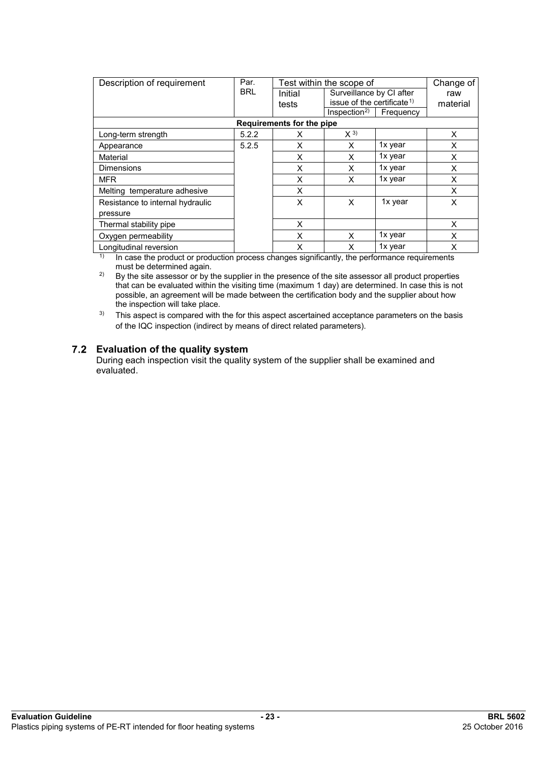| Description of requirement       | Par.       |                           | Test within the scope of               |           | Change of |
|----------------------------------|------------|---------------------------|----------------------------------------|-----------|-----------|
|                                  | <b>BRL</b> | Initial                   | Surveillance by CI after               |           | raw       |
|                                  |            | tests                     | issue of the certificate <sup>1)</sup> |           | material  |
|                                  |            |                           | Inspection <sup>2</sup>                | Frequency |           |
|                                  |            | Requirements for the pipe |                                        |           |           |
| Long-term strength               | 5.2.2      | X                         | $X^{3}$                                |           | X         |
| Appearance                       | 5.2.5      | X                         | X                                      | 1x year   | X         |
| Material                         |            | X                         | X                                      | 1x year   | X         |
| <b>Dimensions</b>                |            | X                         | X                                      | 1x year   | X         |
| <b>MFR</b>                       |            | X                         | X                                      | 1x year   | X         |
| Melting temperature adhesive     |            | X                         |                                        |           | X         |
| Resistance to internal hydraulic |            | X                         | X                                      | 1x year   | X         |
| pressure                         |            |                           |                                        |           |           |
| Thermal stability pipe           |            | X                         |                                        |           | X         |
| Oxygen permeability              |            | X                         | X                                      | 1x year   | X         |
| Longitudinal reversion           |            | X                         | X                                      | 1x year   | X         |

<sup>1)</sup> In case the product or production process changes significantly, the performance requirements must be determined again.

<sup>2)</sup> By the site assessor or by the supplier in the presence of the site assessor all product properties that can be evaluated within the visiting time (maximum 1 day) are determined. In case this is not possible, an agreement will be made between the certification body and the supplier about how the inspection will take place.

<sup>3)</sup> This aspect is compared with the for this aspect ascertained acceptance parameters on the basis of the IQC inspection (indirect by means of direct related parameters).

#### **Evaluation of the quality system**

During each inspection visit the quality system of the supplier shall be examined and evaluated.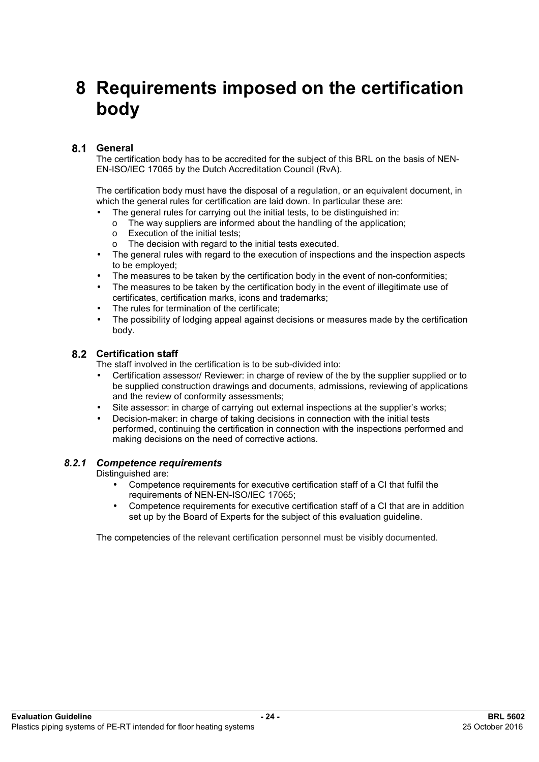# **8 Requirements imposed on the certification body**

# **General**

The certification body has to be accredited for the subject of this BRL on the basis of NEN-EN-ISO/IEC 17065 by the Dutch Accreditation Council (RvA).

The certification body must have the disposal of a regulation, or an equivalent document, in which the general rules for certification are laid down. In particular these are:

- The general rules for carrying out the initial tests, to be distinguished in:
	- o The way suppliers are informed about the handling of the application;
	- o Execution of the initial tests;
	- o The decision with regard to the initial tests executed.
- The general rules with regard to the execution of inspections and the inspection aspects to be employed;
- The measures to be taken by the certification body in the event of non-conformities;
- The measures to be taken by the certification body in the event of illegitimate use of certificates, certification marks, icons and trademarks;
- The rules for termination of the certificate:
- The possibility of lodging appeal against decisions or measures made by the certification body.

#### **Certification staff**

The staff involved in the certification is to be sub-divided into:

- Certification assessor/ Reviewer: in charge of review of the by the supplier supplied or to be supplied construction drawings and documents, admissions, reviewing of applications and the review of conformity assessments;
- Site assessor: in charge of carrying out external inspections at the supplier's works;
- Decision-maker: in charge of taking decisions in connection with the initial tests performed, continuing the certification in connection with the inspections performed and making decisions on the need of corrective actions.

#### *8.2.1 Competence requirements*

Distinguished are:

- Competence requirements for executive certification staff of a CI that fulfil the requirements of NEN-EN-ISO/IEC 17065;
- Competence requirements for executive certification staff of a CI that are in addition set up by the Board of Experts for the subject of this evaluation guideline.

The competencies of the relevant certification personnel must be visibly documented.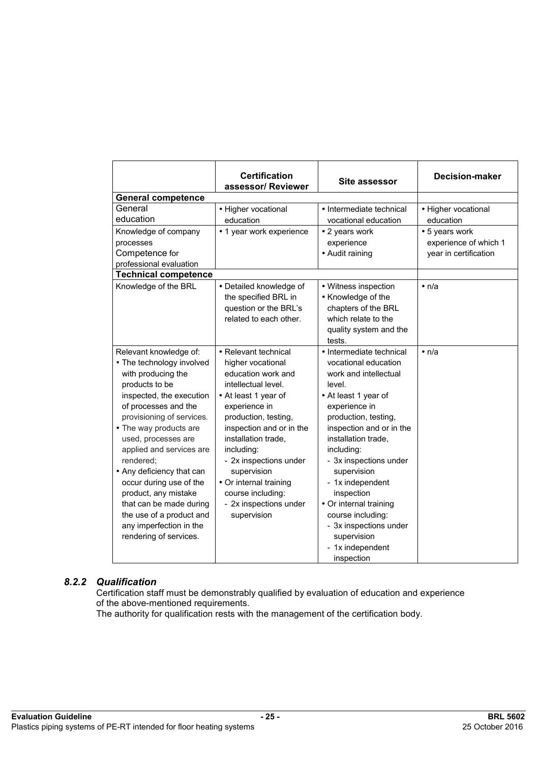|                                                                                                                                                                                                                                                                                                                                                                                                                                                                    | <b>Certification</b><br>assessor/ Reviewer                                                                                                                                                                                                                                                                                                                | Site assessor                                                                                                                                                                                                                                                                                                                                                                                                              | <b>Decision-maker</b>                                            |
|--------------------------------------------------------------------------------------------------------------------------------------------------------------------------------------------------------------------------------------------------------------------------------------------------------------------------------------------------------------------------------------------------------------------------------------------------------------------|-----------------------------------------------------------------------------------------------------------------------------------------------------------------------------------------------------------------------------------------------------------------------------------------------------------------------------------------------------------|----------------------------------------------------------------------------------------------------------------------------------------------------------------------------------------------------------------------------------------------------------------------------------------------------------------------------------------------------------------------------------------------------------------------------|------------------------------------------------------------------|
| <b>General competence</b>                                                                                                                                                                                                                                                                                                                                                                                                                                          |                                                                                                                                                                                                                                                                                                                                                           |                                                                                                                                                                                                                                                                                                                                                                                                                            |                                                                  |
| General<br>education                                                                                                                                                                                                                                                                                                                                                                                                                                               | • Higher vocational<br>education                                                                                                                                                                                                                                                                                                                          | • Intermediate technical<br>vocational education                                                                                                                                                                                                                                                                                                                                                                           | • Higher vocational<br>education                                 |
| Knowledge of company<br>processes<br>Competence for<br>professional evaluation                                                                                                                                                                                                                                                                                                                                                                                     | • 1 year work experience                                                                                                                                                                                                                                                                                                                                  | • 2 years work<br>experience<br>• Audit raining                                                                                                                                                                                                                                                                                                                                                                            | • 5 years work<br>experience of which 1<br>year in certification |
| <b>Technical competence</b>                                                                                                                                                                                                                                                                                                                                                                                                                                        |                                                                                                                                                                                                                                                                                                                                                           |                                                                                                                                                                                                                                                                                                                                                                                                                            |                                                                  |
| Knowledge of the BRL                                                                                                                                                                                                                                                                                                                                                                                                                                               | • Detailed knowledge of<br>the specified BRL in<br>question or the BRL's<br>related to each other.                                                                                                                                                                                                                                                        | • Witness inspection<br>• Knowledge of the<br>chapters of the BRL<br>which relate to the<br>quality system and the<br>tests.                                                                                                                                                                                                                                                                                               | $\bullet$ n/a                                                    |
| Relevant knowledge of:<br>• The technology involved<br>with producing the<br>products to be<br>inspected, the execution<br>of processes and the<br>provisioning of services.<br>• The way products are<br>used, processes are<br>applied and services are<br>rendered:<br>• Any deficiency that can<br>occur during use of the<br>product, any mistake<br>that can be made during<br>the use of a product and<br>any imperfection in the<br>rendering of services. | • Relevant technical<br>higher vocational<br>education work and<br>intellectual level.<br>• At least 1 year of<br>experience in<br>production, testing,<br>inspection and or in the<br>installation trade.<br>including:<br>- 2x inspections under<br>supervision<br>• Or internal training<br>course including:<br>- 2x inspections under<br>supervision | • Intermediate technical<br>vocational education<br>work and intellectual<br>level.<br>• At least 1 year of<br>experience in<br>production, testing,<br>inspection and or in the<br>installation trade.<br>including:<br>- 3x inspections under<br>supervision<br>- 1x independent<br>inspection<br>• Or internal training<br>course including:<br>- 3x inspections under<br>supervision<br>- 1x independent<br>inspection | $\bullet$ n/a                                                    |

#### *8.2.2 Qualification*

Certification staff must be demonstrably qualified by evaluation of education and experience of the above-mentioned requirements.

The authority for qualification rests with the management of the certification body.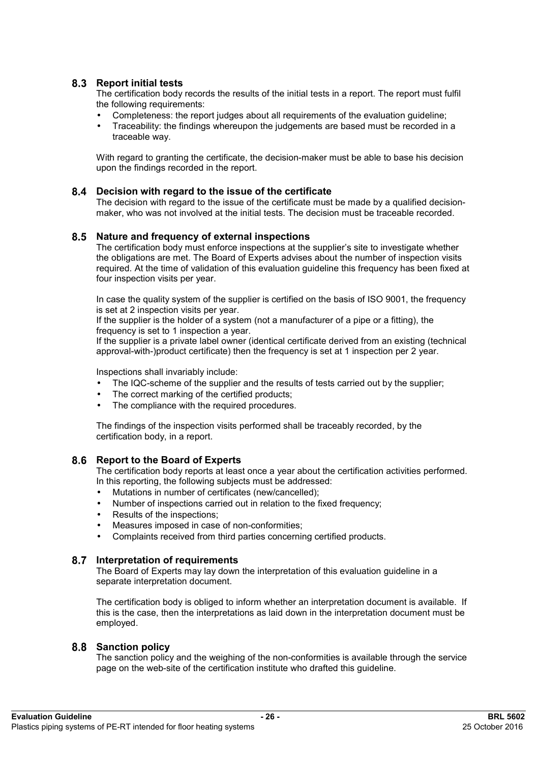#### **Report initial tests**

The certification body records the results of the initial tests in a report. The report must fulfil the following requirements:

- Completeness: the report judges about all requirements of the evaluation guideline;
- Traceability: the findings whereupon the judgements are based must be recorded in a traceable way.

With regard to granting the certificate, the decision-maker must be able to base his decision upon the findings recorded in the report.

#### **Decision with regard to the issue of the certificate**

The decision with regard to the issue of the certificate must be made by a qualified decisionmaker, who was not involved at the initial tests. The decision must be traceable recorded.

#### **Nature and frequency of external inspections**

The certification body must enforce inspections at the supplier's site to investigate whether the obligations are met. The Board of Experts advises about the number of inspection visits required. At the time of validation of this evaluation guideline this frequency has been fixed at four inspection visits per year.

In case the quality system of the supplier is certified on the basis of ISO 9001, the frequency is set at 2 inspection visits per year.

If the supplier is the holder of a system (not a manufacturer of a pipe or a fitting), the frequency is set to 1 inspection a year.

If the supplier is a private label owner (identical certificate derived from an existing (technical approval-with-)product certificate) then the frequency is set at 1 inspection per 2 year.

Inspections shall invariably include:

- The IQC-scheme of the supplier and the results of tests carried out by the supplier;
- The correct marking of the certified products;
- The compliance with the required procedures.

The findings of the inspection visits performed shall be traceably recorded, by the certification body, in a report.

#### **Report to the Board of Experts**

The certification body reports at least once a year about the certification activities performed. In this reporting, the following subjects must be addressed:

- Mutations in number of certificates (new/cancelled);
- Number of inspections carried out in relation to the fixed frequency;
- Results of the inspections;
- Measures imposed in case of non-conformities;
- Complaints received from third parties concerning certified products.

#### **Interpretation of requirements**

The Board of Experts may lay down the interpretation of this evaluation guideline in a separate interpretation document.

The certification body is obliged to inform whether an interpretation document is available. If this is the case, then the interpretations as laid down in the interpretation document must be employed.

#### **Sanction policy**

The sanction policy and the weighing of the non-conformities is available through the service page on the web-site of the certification institute who drafted this guideline.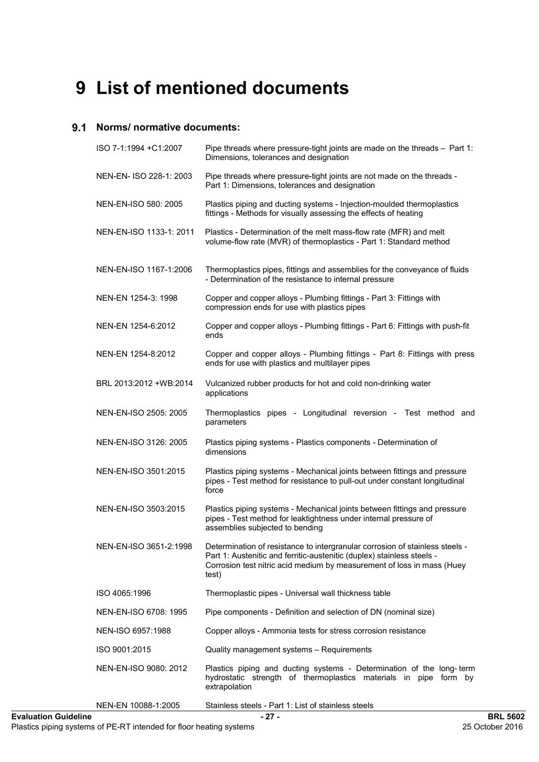# **9 List of mentioned documents**

# **Norms/ normative documents:**

| ISO 7-1:1994 + C1:2007  | Pipe threads where pressure-tight joints are made on the threads - Part 1:<br>Dimensions, tolerances and designation                                                                                                                      |
|-------------------------|-------------------------------------------------------------------------------------------------------------------------------------------------------------------------------------------------------------------------------------------|
| NEN-EN- ISO 228-1: 2003 | Pipe threads where pressure-tight joints are not made on the threads -<br>Part 1: Dimensions, tolerances and designation                                                                                                                  |
| NEN-EN-ISO 580: 2005    | Plastics piping and ducting systems - Injection-moulded thermoplastics<br>fittings - Methods for visually assessing the effects of heating                                                                                                |
| NEN-EN-ISO 1133-1: 2011 | Plastics - Determination of the melt mass-flow rate (MFR) and melt<br>volume-flow rate (MVR) of thermoplastics - Part 1: Standard method                                                                                                  |
| NEN-EN-ISO 1167-1:2006  | Thermoplastics pipes, fittings and assemblies for the conveyance of fluids<br>- Determination of the resistance to internal pressure                                                                                                      |
| NEN-EN 1254-3: 1998     | Copper and copper alloys - Plumbing fittings - Part 3: Fittings with<br>compression ends for use with plastics pipes                                                                                                                      |
| NEN-EN 1254-6:2012      | Copper and copper alloys - Plumbing fittings - Part 6: Fittings with push-fit<br>ends                                                                                                                                                     |
| NEN-EN 1254-8:2012      | Copper and copper alloys - Plumbing fittings - Part 8: Fittings with press<br>ends for use with plastics and multilayer pipes                                                                                                             |
| BRL 2013:2012 +WB:2014  | Vulcanized rubber products for hot and cold non-drinking water<br>applications                                                                                                                                                            |
| NEN-EN-ISO 2505: 2005   | Thermoplastics pipes - Longitudinal reversion - Test method and<br>parameters                                                                                                                                                             |
| NEN-EN-ISO 3126: 2005   | Plastics piping systems - Plastics components - Determination of<br>dimensions                                                                                                                                                            |
| NEN-EN-ISO 3501:2015    | Plastics piping systems - Mechanical joints between fittings and pressure<br>pipes - Test method for resistance to pull-out under constant longitudinal<br>force                                                                          |
| NEN-EN-ISO 3503:2015    | Plastics piping systems - Mechanical joints between fittings and pressure<br>pipes - Test method for leaktightness under internal pressure of<br>assemblies subjected to bending                                                          |
| NEN-EN-ISO 3651-2:1998  | Determination of resistance to intergranular corrosion of stainless steels -<br>Part 1: Austenitic and ferritic-austenitic (duplex) stainless steels -<br>Corrosion test nitric acid medium by measurement of loss in mass (Huey<br>test) |
| ISO 4065:1996           | Thermoplastic pipes - Universal wall thickness table                                                                                                                                                                                      |
| NEN-EN-ISO 6708: 1995   | Pipe components - Definition and selection of DN (nominal size)                                                                                                                                                                           |
| NEN-ISO 6957:1988       | Copper alloys - Ammonia tests for stress corrosion resistance                                                                                                                                                                             |
| ISO 9001:2015           | Quality management systems - Requirements                                                                                                                                                                                                 |
| NEN-EN-ISO 9080: 2012   | Plastics piping and ducting systems - Determination of the long-term<br>hydrostatic strength of thermoplastics materials in pipe form by<br>extrapolation                                                                                 |

NEN-EN 10088-1:2005 Stainless steels - Part 1: List of stainless steels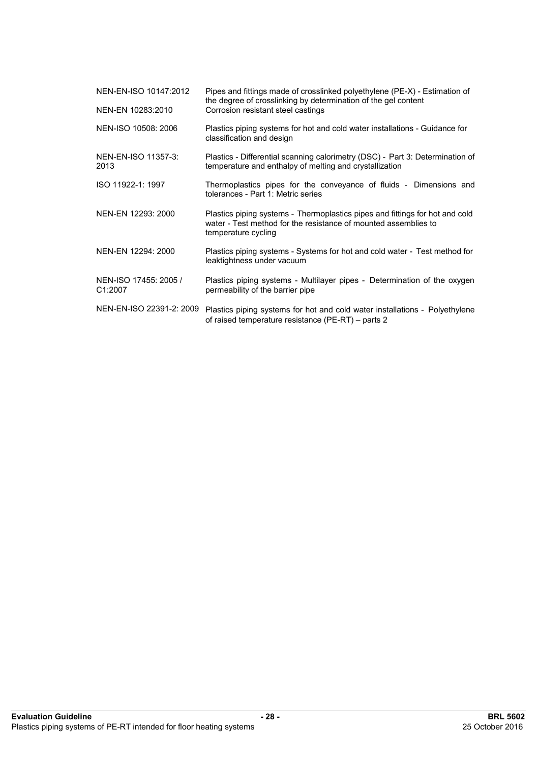| NEN-EN-ISO 10147:2012            | Pipes and fittings made of crosslinked polyethylene (PE-X) - Estimation of<br>the degree of crosslinking by determination of the gel content                           |
|----------------------------------|------------------------------------------------------------------------------------------------------------------------------------------------------------------------|
| NEN-EN 10283:2010                | Corrosion resistant steel castings                                                                                                                                     |
| NEN-ISO 10508: 2006              | Plastics piping systems for hot and cold water installations - Guidance for<br>classification and design                                                               |
| NEN-EN-ISO 11357-3:<br>2013      | Plastics - Differential scanning calorimetry (DSC) - Part 3: Determination of<br>temperature and enthalpy of melting and crystallization                               |
| ISO 11922-1: 1997                | Thermoplastics pipes for the conveyance of fluids - Dimensions and<br>tolerances - Part 1: Metric series                                                               |
| NEN-EN 12293: 2000               | Plastics piping systems - Thermoplastics pipes and fittings for hot and cold<br>water - Test method for the resistance of mounted assemblies to<br>temperature cycling |
| NEN-EN 12294: 2000               | Plastics piping systems - Systems for hot and cold water - Test method for<br>leaktightness under vacuum                                                               |
| NEN-ISO 17455: 2005 /<br>C1:2007 | Plastics piping systems - Multilayer pipes - Determination of the oxygen<br>permeability of the barrier pipe                                                           |
| NEN-EN-ISO 22391-2: 2009         | Plastics piping systems for hot and cold water installations - Polyethylene<br>of raised temperature resistance (PE-RT) – parts 2                                      |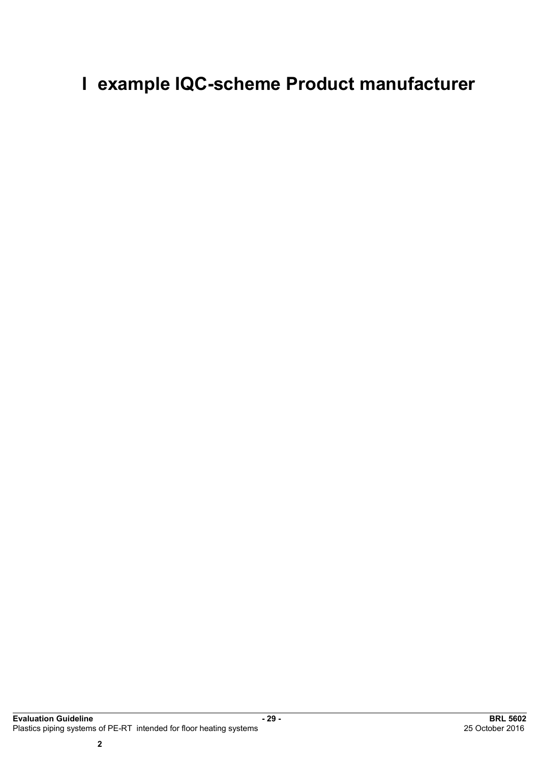# **I example IQC-scheme Product manufacturer**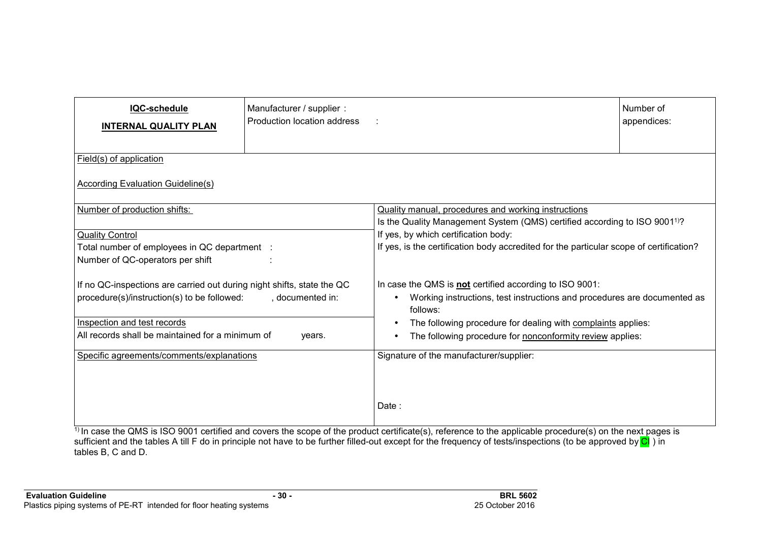| <b>IQC-schedule</b><br><b>INTERNAL QUALITY PLAN</b>                                                                   | Manufacturer / supplier :<br>Production location address |                                                                                                                                                                       | Number of<br>appendices: |  |
|-----------------------------------------------------------------------------------------------------------------------|----------------------------------------------------------|-----------------------------------------------------------------------------------------------------------------------------------------------------------------------|--------------------------|--|
| Field(s) of application<br><b>According Evaluation Guideline(s)</b>                                                   |                                                          |                                                                                                                                                                       |                          |  |
|                                                                                                                       |                                                          |                                                                                                                                                                       |                          |  |
| Number of production shifts:                                                                                          |                                                          | Quality manual, procedures and working instructions<br>Is the Quality Management System (QMS) certified according to ISO 9001 <sup>1)</sup> ?                         |                          |  |
| <b>Quality Control</b>                                                                                                |                                                          | If yes, by which certification body:                                                                                                                                  |                          |  |
| Total number of employees in QC department :                                                                          |                                                          | If yes, is the certification body accredited for the particular scope of certification?                                                                               |                          |  |
| Number of QC-operators per shift                                                                                      |                                                          |                                                                                                                                                                       |                          |  |
| If no QC-inspections are carried out during night shifts, state the QC<br>procedure(s)/instruction(s) to be followed: | , documented in:                                         | In case the QMS is not certified according to ISO 9001:<br>Working instructions, test instructions and procedures are documented as<br>$\bullet$<br>follows:          |                          |  |
| Inspection and test records                                                                                           |                                                          | The following procedure for dealing with complaints applies:<br>$\bullet$                                                                                             |                          |  |
| All records shall be maintained for a minimum of                                                                      | years.                                                   | The following procedure for nonconformity review applies:                                                                                                             |                          |  |
| Specific agreements/comments/explanations                                                                             |                                                          | Signature of the manufacturer/supplier:                                                                                                                               |                          |  |
|                                                                                                                       |                                                          | Date:                                                                                                                                                                 |                          |  |
|                                                                                                                       |                                                          | $\frac{1}{1}$ In case the QMS is ISO 9001 certified and covers the scope of the product certificate(s), reference to the applicable procedure(s) on the next pages is |                          |  |

<sup>1)</sup> In case the QMS is ISO 9001 certified and covers the scope of the product certificate(s), reference to the applicable procedure(s) on the next pages is sufficient and the tables A till F do in principle not have to be further filled-out except for the frequency of tests/inspections (to be approved by CI ) in tables B, C and D.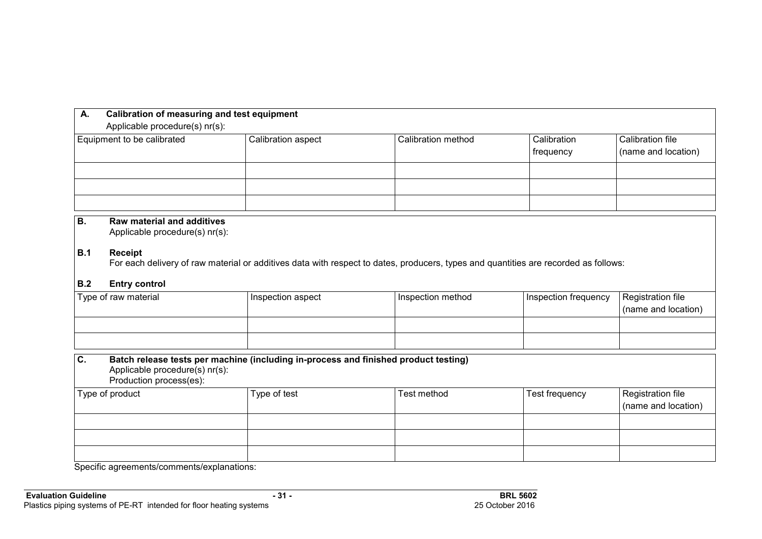| А.<br>Applicable procedure(s) nr(s): | Calibration of measuring and test equipment |                    |                          |                                         |  |  |
|--------------------------------------|---------------------------------------------|--------------------|--------------------------|-----------------------------------------|--|--|
| Equipment to be calibrated           | Calibration aspect                          | Calibration method | Calibration<br>frequency | Calibration file<br>(name and location) |  |  |
|                                      |                                             |                    |                          |                                         |  |  |
|                                      |                                             |                    |                          |                                         |  |  |
|                                      |                                             |                    |                          |                                         |  |  |

# **B. Raw material and additives**

Applicable procedure(s) nr(s):

#### **B.1 Receipt**

For each delivery of raw material or additives data with respect to dates, producers, types and quantities are recorded as follows:

#### **B.2 Entry control**

| Type of raw material | Inspection aspect | Inspection method | Inspection frequency | Registration file<br>(name and location) |
|----------------------|-------------------|-------------------|----------------------|------------------------------------------|
|                      |                   |                   |                      |                                          |
|                      |                   |                   |                      |                                          |

| Batch release tests per machine (including in-process and finished product testing)<br>IC.<br>Applicable procedure(s) nr(s):<br>Production process(es): |              |             |                |                                          |  |
|---------------------------------------------------------------------------------------------------------------------------------------------------------|--------------|-------------|----------------|------------------------------------------|--|
| Type of product                                                                                                                                         | Type of test | Test method | Test frequency | Registration file<br>(name and location) |  |
|                                                                                                                                                         |              |             |                |                                          |  |
|                                                                                                                                                         |              |             |                |                                          |  |
|                                                                                                                                                         |              |             |                |                                          |  |

Specific agreements/comments/explanations: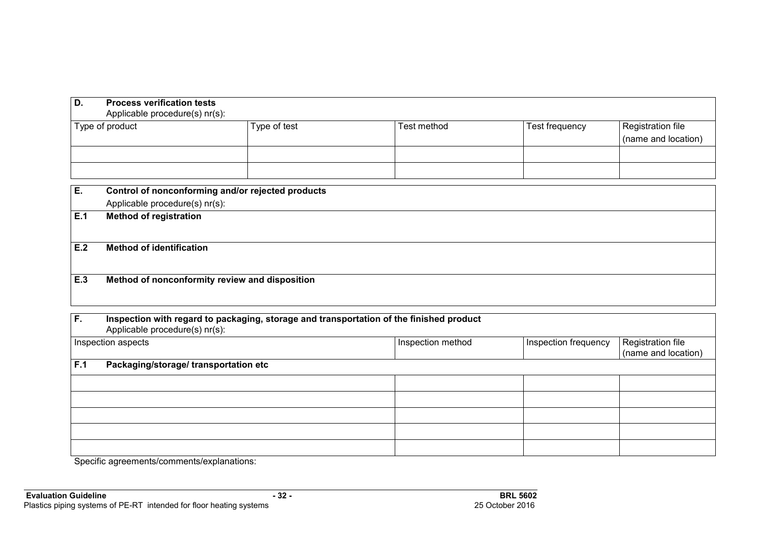| D.  | <b>Process verification tests</b><br>Applicable procedure(s) nr(s): |                                                                                         |                   |                      |                                          |
|-----|---------------------------------------------------------------------|-----------------------------------------------------------------------------------------|-------------------|----------------------|------------------------------------------|
|     | Type of product                                                     | Type of test                                                                            | Test method       | Test frequency       | Registration file<br>(name and location) |
|     |                                                                     |                                                                                         |                   |                      |                                          |
| Ε.  | Applicable procedure(s) nr(s):                                      | Control of nonconforming and/or rejected products                                       |                   |                      |                                          |
| E.1 | <b>Method of registration</b>                                       |                                                                                         |                   |                      |                                          |
| E.2 | <b>Method of identification</b>                                     |                                                                                         |                   |                      |                                          |
| E.3 |                                                                     | Method of nonconformity review and disposition                                          |                   |                      |                                          |
| F.  | Applicable procedure(s) nr(s):                                      | Inspection with regard to packaging, storage and transportation of the finished product |                   |                      |                                          |
|     | Inspection aspects                                                  |                                                                                         | Inspection method | Inspection frequency | Registration file<br>(name and location) |
| F.1 | Packaging/storage/ transportation etc                               |                                                                                         |                   |                      |                                          |
|     |                                                                     |                                                                                         |                   |                      |                                          |
|     |                                                                     |                                                                                         |                   |                      |                                          |

Specific agreements/comments/explanations: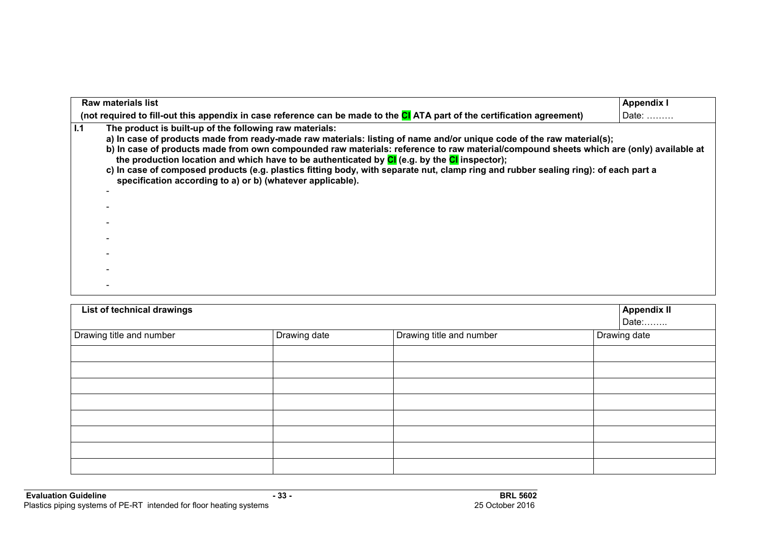| <b>Raw materials list</b>                                                                                                                                                                                                                                                                                                                                                                                                                                                                                                                                                                                                              | <b>Appendix I</b> |
|----------------------------------------------------------------------------------------------------------------------------------------------------------------------------------------------------------------------------------------------------------------------------------------------------------------------------------------------------------------------------------------------------------------------------------------------------------------------------------------------------------------------------------------------------------------------------------------------------------------------------------------|-------------------|
| (not required to fill-out this appendix in case reference can be made to the CI ATA part of the certification agreement)                                                                                                                                                                                                                                                                                                                                                                                                                                                                                                               | Date:             |
| 1.1<br>The product is built-up of the following raw materials:<br>a) In case of products made from ready-made raw materials: listing of name and/or unique code of the raw material(s);<br>b) In case of products made from own compounded raw materials: reference to raw material/compound sheets which are (only) available at<br>the production location and which have to be authenticated by CI (e.g. by the CI inspector);<br>c) In case of composed products (e.g. plastics fitting body, with separate nut, clamp ring and rubber sealing ring): of each part a<br>specification according to a) or b) (whatever applicable). |                   |

| List of technical drawings |              |                          | <b>Appendix II</b> |
|----------------------------|--------------|--------------------------|--------------------|
|                            |              |                          | Date:              |
| Drawing title and number   | Drawing date | Drawing title and number | Drawing date       |
|                            |              |                          |                    |
|                            |              |                          |                    |
|                            |              |                          |                    |
|                            |              |                          |                    |
|                            |              |                          |                    |
|                            |              |                          |                    |
|                            |              |                          |                    |
|                            |              |                          |                    |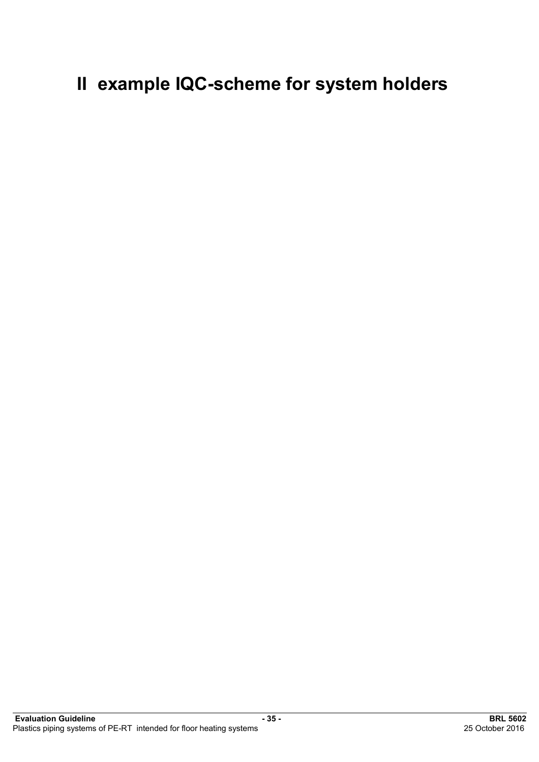# **II example IQC-scheme for system holders**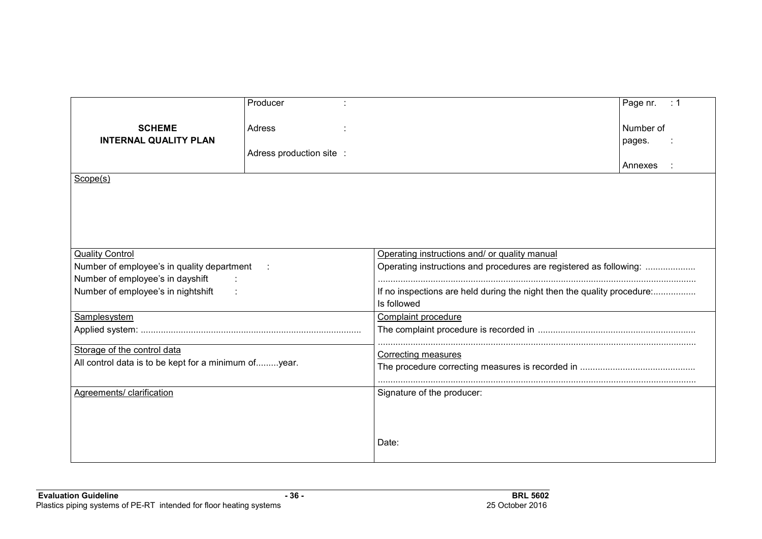|                                                      | Producer                 |                                                                         | Page nr.<br>$\therefore$ 1                                         |  |  |
|------------------------------------------------------|--------------------------|-------------------------------------------------------------------------|--------------------------------------------------------------------|--|--|
| <b>SCHEME</b>                                        | Adress                   |                                                                         | Number of                                                          |  |  |
| <b>INTERNAL QUALITY PLAN</b>                         |                          |                                                                         | pages.                                                             |  |  |
|                                                      | Adress production site : |                                                                         |                                                                    |  |  |
|                                                      |                          |                                                                         | Annexes                                                            |  |  |
| Scope(s)                                             |                          |                                                                         |                                                                    |  |  |
|                                                      |                          |                                                                         |                                                                    |  |  |
|                                                      |                          |                                                                         |                                                                    |  |  |
|                                                      |                          |                                                                         |                                                                    |  |  |
|                                                      |                          |                                                                         |                                                                    |  |  |
| <b>Quality Control</b>                               |                          | Operating instructions and/ or quality manual                           |                                                                    |  |  |
| Number of employee's in quality department           |                          |                                                                         | Operating instructions and procedures are registered as following: |  |  |
| Number of employee's in dayshift<br>$\sim$ 10        |                          |                                                                         |                                                                    |  |  |
| Number of employee's in nightshift                   |                          | If no inspections are held during the night then the quality procedure: |                                                                    |  |  |
|                                                      |                          | Is followed                                                             |                                                                    |  |  |
| Samplesystem                                         |                          | <b>Complaint procedure</b>                                              |                                                                    |  |  |
|                                                      |                          |                                                                         |                                                                    |  |  |
| Storage of the control data                          |                          |                                                                         |                                                                    |  |  |
| All control data is to be kept for a minimum ofyear. |                          | Correcting measures                                                     |                                                                    |  |  |
|                                                      |                          |                                                                         |                                                                    |  |  |
|                                                      |                          |                                                                         |                                                                    |  |  |
| Agreements/ clarification                            |                          | Signature of the producer:                                              |                                                                    |  |  |
|                                                      |                          |                                                                         |                                                                    |  |  |
|                                                      |                          |                                                                         |                                                                    |  |  |
|                                                      |                          | Date:                                                                   |                                                                    |  |  |
|                                                      |                          |                                                                         |                                                                    |  |  |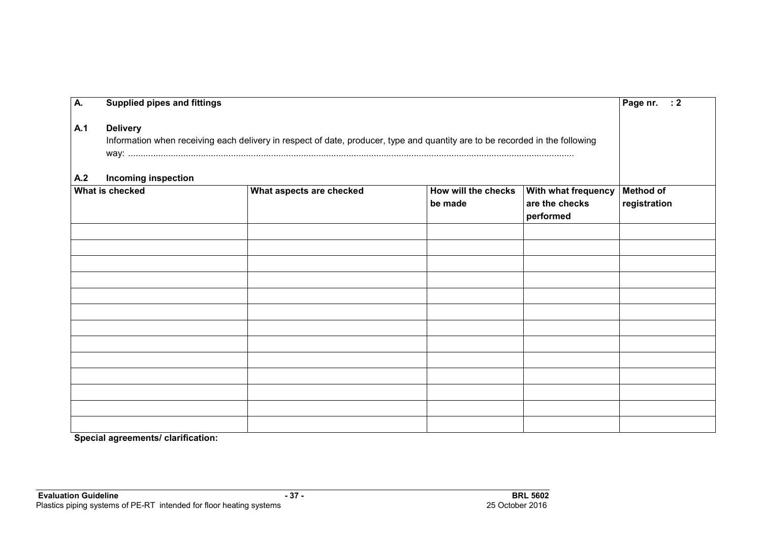| A.         | Page nr. : 2<br><b>Supplied pipes and fittings</b>                                                                                              |                          |                                |                                                    |                                  |  |
|------------|-------------------------------------------------------------------------------------------------------------------------------------------------|--------------------------|--------------------------------|----------------------------------------------------|----------------------------------|--|
| A.1<br>A.2 | <b>Delivery</b><br>Information when receiving each delivery in respect of date, producer, type and quantity are to be recorded in the following |                          |                                |                                                    |                                  |  |
|            | <b>Incoming inspection</b><br>What is checked                                                                                                   | What aspects are checked | How will the checks<br>be made | With what frequency<br>are the checks<br>performed | <b>Method of</b><br>registration |  |
|            |                                                                                                                                                 |                          |                                |                                                    |                                  |  |
|            |                                                                                                                                                 |                          |                                |                                                    |                                  |  |
|            |                                                                                                                                                 |                          |                                |                                                    |                                  |  |
|            |                                                                                                                                                 |                          |                                |                                                    |                                  |  |
|            |                                                                                                                                                 |                          |                                |                                                    |                                  |  |
|            |                                                                                                                                                 |                          |                                |                                                    |                                  |  |
|            |                                                                                                                                                 |                          |                                |                                                    |                                  |  |
|            |                                                                                                                                                 |                          |                                |                                                    |                                  |  |
|            |                                                                                                                                                 |                          |                                |                                                    |                                  |  |
|            |                                                                                                                                                 |                          |                                |                                                    |                                  |  |
|            |                                                                                                                                                 |                          |                                |                                                    |                                  |  |
|            |                                                                                                                                                 |                          |                                |                                                    |                                  |  |

**Special agreements/ clarification:**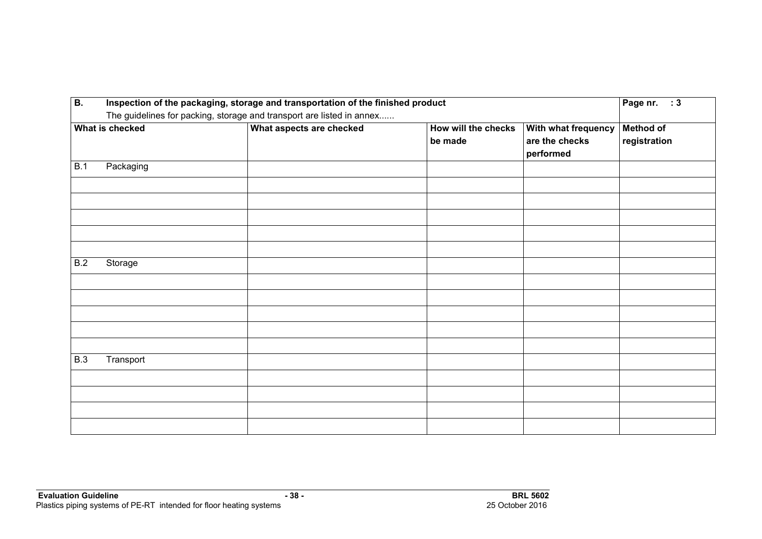| $\overline{B}$ . | Inspection of the packaging, storage and transportation of the finished product |                          |                                |                                                    | Page nr. : 3                     |  |
|------------------|---------------------------------------------------------------------------------|--------------------------|--------------------------------|----------------------------------------------------|----------------------------------|--|
|                  | The guidelines for packing, storage and transport are listed in annex           |                          |                                |                                                    |                                  |  |
|                  | What is checked                                                                 | What aspects are checked | How will the checks<br>be made | With what frequency<br>are the checks<br>performed | <b>Method of</b><br>registration |  |
| <b>B.1</b>       | Packaging                                                                       |                          |                                |                                                    |                                  |  |
|                  |                                                                                 |                          |                                |                                                    |                                  |  |
|                  |                                                                                 |                          |                                |                                                    |                                  |  |
|                  |                                                                                 |                          |                                |                                                    |                                  |  |
|                  |                                                                                 |                          |                                |                                                    |                                  |  |
|                  |                                                                                 |                          |                                |                                                    |                                  |  |
| B.2              | Storage                                                                         |                          |                                |                                                    |                                  |  |
|                  |                                                                                 |                          |                                |                                                    |                                  |  |
|                  |                                                                                 |                          |                                |                                                    |                                  |  |
|                  |                                                                                 |                          |                                |                                                    |                                  |  |
|                  |                                                                                 |                          |                                |                                                    |                                  |  |
|                  |                                                                                 |                          |                                |                                                    |                                  |  |
| <b>B.3</b>       | Transport                                                                       |                          |                                |                                                    |                                  |  |
|                  |                                                                                 |                          |                                |                                                    |                                  |  |
|                  |                                                                                 |                          |                                |                                                    |                                  |  |
|                  |                                                                                 |                          |                                |                                                    |                                  |  |
|                  |                                                                                 |                          |                                |                                                    |                                  |  |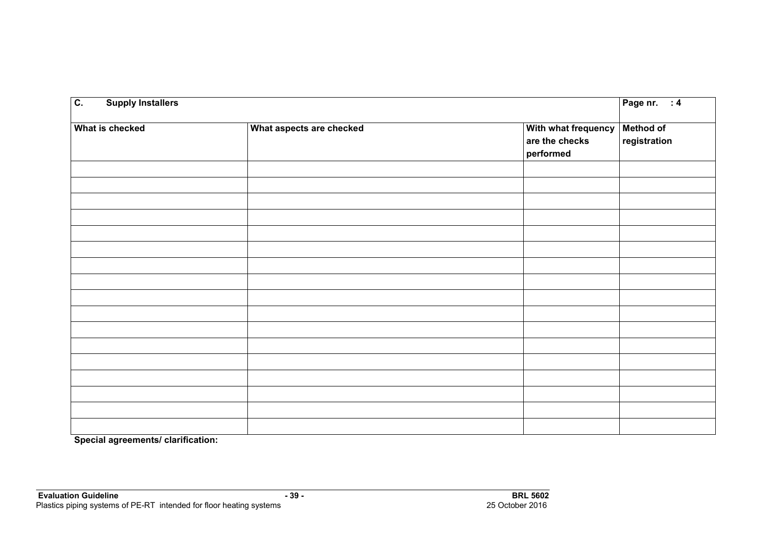| $\overline{c}$ .<br><b>Supply Installers</b> | Page nr. : 4             |                                                    |                                  |
|----------------------------------------------|--------------------------|----------------------------------------------------|----------------------------------|
| What is checked                              | What aspects are checked | With what frequency<br>are the checks<br>performed | <b>Method of</b><br>registration |
|                                              |                          |                                                    |                                  |
|                                              |                          |                                                    |                                  |
|                                              |                          |                                                    |                                  |
|                                              |                          |                                                    |                                  |
|                                              |                          |                                                    |                                  |
|                                              |                          |                                                    |                                  |
|                                              |                          |                                                    |                                  |
|                                              |                          |                                                    |                                  |
|                                              |                          |                                                    |                                  |
|                                              |                          |                                                    |                                  |
|                                              |                          |                                                    |                                  |
|                                              |                          |                                                    |                                  |
|                                              |                          |                                                    |                                  |
|                                              |                          |                                                    |                                  |
|                                              |                          |                                                    |                                  |
|                                              |                          |                                                    |                                  |

**Special agreements/ clarification:**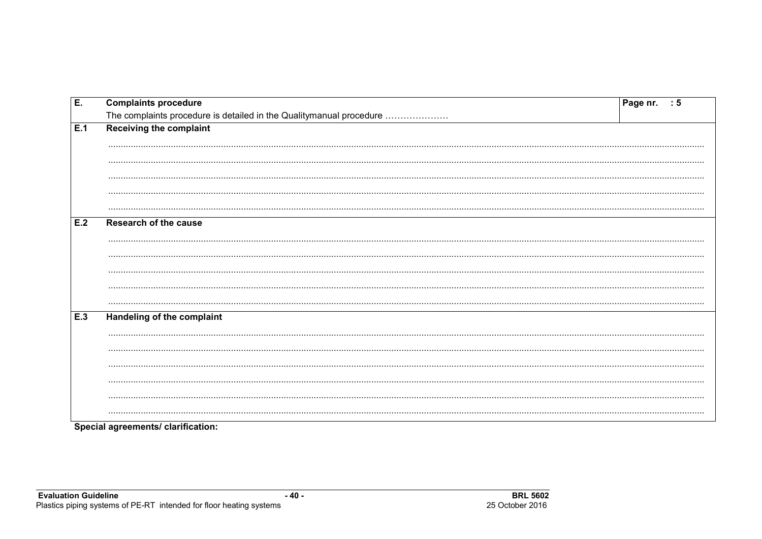| E.  | <b>Complaints procedure</b>                                         | Page nr. : 5 |  |  |  |
|-----|---------------------------------------------------------------------|--------------|--|--|--|
|     | The complaints procedure is detailed in the Qualitymanual procedure |              |  |  |  |
| E.1 | <b>Receiving the complaint</b>                                      |              |  |  |  |
|     |                                                                     |              |  |  |  |
|     |                                                                     |              |  |  |  |
|     |                                                                     |              |  |  |  |
|     |                                                                     |              |  |  |  |
|     |                                                                     |              |  |  |  |
| E.2 | <b>Research of the cause</b>                                        |              |  |  |  |
|     |                                                                     |              |  |  |  |
|     |                                                                     |              |  |  |  |
|     |                                                                     |              |  |  |  |
|     |                                                                     |              |  |  |  |
|     |                                                                     |              |  |  |  |
| E.3 | Handeling of the complaint                                          |              |  |  |  |
|     |                                                                     |              |  |  |  |
|     |                                                                     |              |  |  |  |
|     |                                                                     |              |  |  |  |
|     |                                                                     |              |  |  |  |
|     |                                                                     |              |  |  |  |
|     |                                                                     |              |  |  |  |

Special agreements/ clarification: